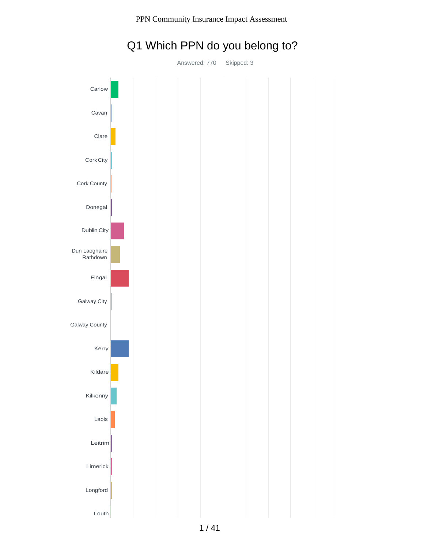

# Q1 Which PPN do you belong to?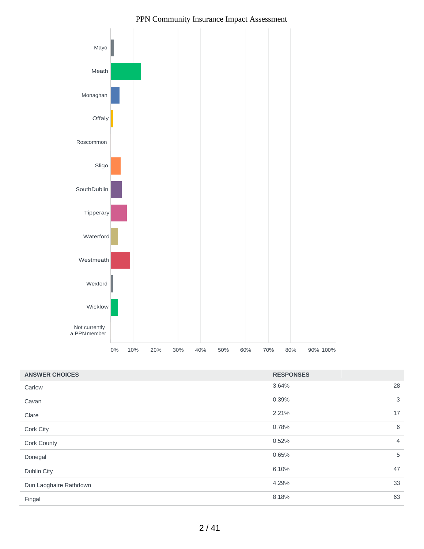

| <b>ANSWER CHOICES</b>  | <b>RESPONSES</b> |                |
|------------------------|------------------|----------------|
| Carlow                 | 3.64%            | 28             |
| Cavan                  | 0.39%            | 3              |
| Clare                  | 2.21%            | 17             |
| Cork City              | 0.78%            | 6              |
| Cork County            | 0.52%            | $\overline{4}$ |
| Donegal                | 0.65%            | 5              |
| Dublin City            | 6.10%            | 47             |
| Dun Laoghaire Rathdown | 4.29%            | 33             |
| Fingal                 | 8.18%            | 63             |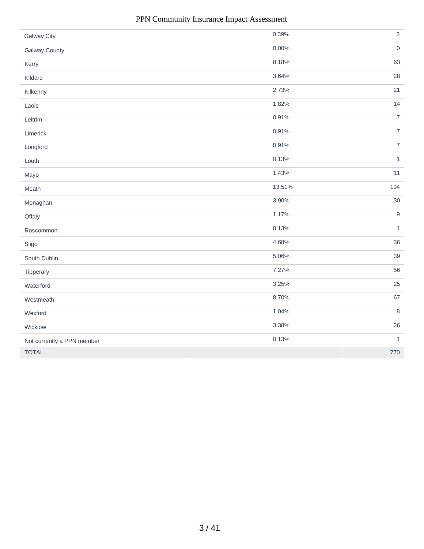| <b>Galway City</b>         | 0.39%    | $\mathfrak{S}$   |
|----------------------------|----------|------------------|
| <b>Galway County</b>       | $0.00\%$ | $\,0\,$          |
| Kerry                      | 8.18%    | 63               |
| Kildare                    | 3.64%    | 28               |
| Kilkenny                   | 2.73%    | 21               |
| Laois                      | 1.82%    | 14               |
| Leitrim                    | 0.91%    | $\overline{7}$   |
| Limerick                   | 0.91%    | $\overline{7}$   |
| Longford                   | 0.91%    | $\overline{7}$   |
| Louth                      | 0.13%    | $\mathbf{1}$     |
| Mayo                       | 1.43%    | 11               |
| Meath                      | 13.51%   | 104              |
| Monaghan                   | 3.90%    | $30\,$           |
| Offaly                     | 1.17%    | $\boldsymbol{9}$ |
| Roscommon                  | 0.13%    | $\mathbf{1}$     |
| Sligo                      | 4.68%    | 36               |
| South Dublin               | 5.06%    | 39               |
| Tipperary                  | 7.27%    | 56               |
| Waterford                  | 3.25%    | 25               |
| Westmeath                  | 8.70%    | 67               |
| Wexford                    | 1.04%    | $\,8\,$          |
| Wicklow                    | 3.38%    | 26               |
| Not currently a PPN member | 0.13%    | $\mathbf{1}$     |
| <b>TOTAL</b>               |          | 770              |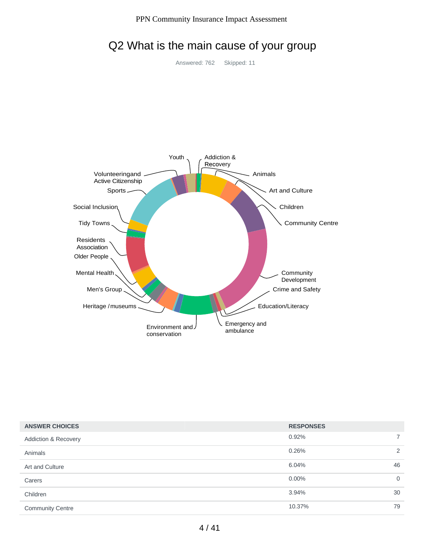| <b>ANSWER CHOICES</b>           | <b>RESPONSES</b> |                |
|---------------------------------|------------------|----------------|
| <b>Addiction &amp; Recovery</b> | 0.92%            |                |
| Animals                         | 0.26%            | $\overline{2}$ |
| Art and Culture                 | 6.04%            | 46             |
| Carers                          | $0.00\%$         | $\Omega$       |
| Children                        | 3.94%            | 30             |
| <b>Community Centre</b>         | 10.37%           | 79             |

# Q2 What is the main cause of your group

Answered: 762 Skipped: 11

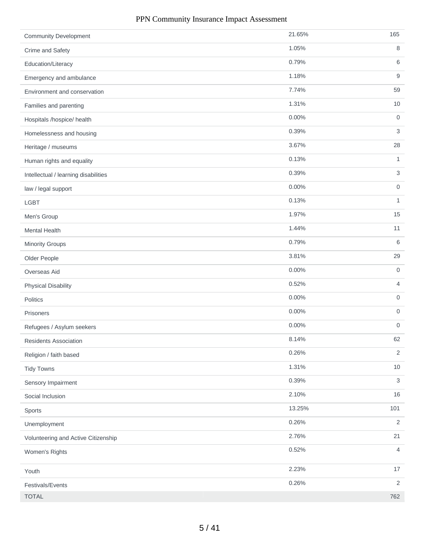| <b>Community Development</b>         | 21.65% | 165                       |
|--------------------------------------|--------|---------------------------|
| Crime and Safety                     | 1.05%  | 8                         |
| Education/Literacy                   | 0.79%  | 6                         |
| Emergency and ambulance              | 1.18%  | 9                         |
| Environment and conservation         | 7.74%  | 59                        |
| Families and parenting               | 1.31%  | 10                        |
| Hospitals /hospice/ health           | 0.00%  | $\mathbf 0$               |
| Homelessness and housing             | 0.39%  | 3                         |
| Heritage / museums                   | 3.67%  | 28                        |
| Human rights and equality            | 0.13%  | 1                         |
| Intellectual / learning disabilities | 0.39%  | $\ensuremath{\mathsf{3}}$ |
| law / legal support                  | 0.00%  | 0                         |
| LGBT                                 | 0.13%  | $\mathbf{1}$              |
| Men's Group                          | 1.97%  | 15                        |
| <b>Mental Health</b>                 | 1.44%  | 11                        |
| <b>Minority Groups</b>               | 0.79%  | 6                         |
| Older People                         | 3.81%  | 29                        |
| Overseas Aid                         | 0.00%  | $\mathbf 0$               |
| <b>Physical Disability</b>           | 0.52%  | $\overline{4}$            |
| Politics                             | 0.00%  | $\boldsymbol{0}$          |
| Prisoners                            | 0.00%  | $\boldsymbol{0}$          |
| Refugees / Asylum seekers            | 0.00%  | 0                         |
| Residents Association                | 8.14%  | 62                        |
| Religion / faith based               | 0.26%  | $\mathbf{2}$              |
| <b>Tidy Towns</b>                    | 1.31%  | 10                        |
| Sensory Impairment                   | 0.39%  | $\mathfrak{S}$            |
| Social Inclusion                     | 2.10%  | 16                        |
| Sports                               | 13.25% | 101                       |
| Unemployment                         | 0.26%  | $\overline{2}$            |
| Volunteering and Active Citizenship  | 2.76%  | 21                        |
| Women's Rights                       | 0.52%  | $\overline{4}$            |
| Youth                                | 2.23%  | 17                        |
| Festivals/Events                     | 0.26%  | $\overline{2}$            |
| <b>TOTAL</b>                         |        | 762                       |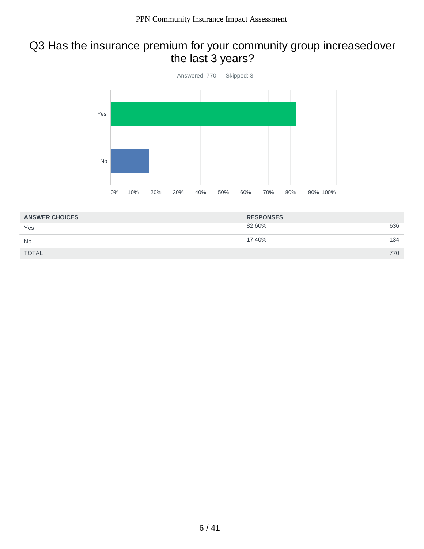# Q3 Has the insurance premium for your community group increasedover the last 3 years?



| <b>ANSWER CHOICES</b> | <b>RESPONSES</b> |     |
|-----------------------|------------------|-----|
| Yes                   | 82.60%           | 636 |
| <b>No</b>             | 17.40%           | 134 |
| <b>TOTAL</b>          |                  | 770 |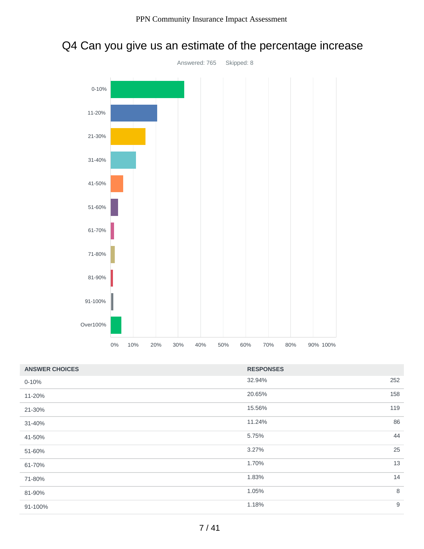

# Q4 Can you give us an estimate of the percentage increase

| <b>ANSWER CHOICES</b> | <b>RESPONSES</b> |     |
|-----------------------|------------------|-----|
| $0 - 10%$             | 32.94%           | 252 |
| 11-20%                | 20.65%           | 158 |
| 21-30%                | 15.56%           | 119 |
| 31-40%                | 11.24%           | 86  |
| 41-50%                | 5.75%            | 44  |
| 51-60%                | 3.27%            | 25  |
| 61-70%                | 1.70%            | 13  |
| 71-80%                | 1.83%            | 14  |
| 81-90%                | 1.05%            | 8   |
| 91-100%               | 1.18%            | 9   |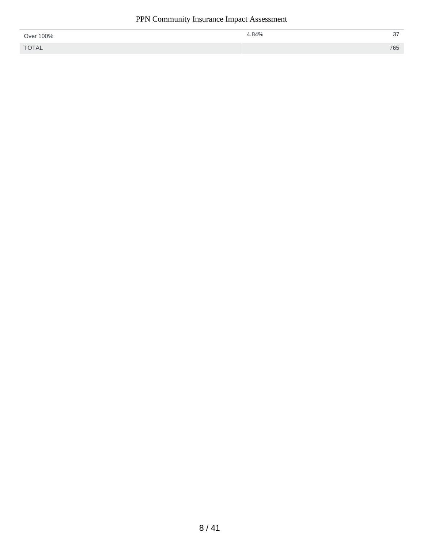| Over 100%    | 4.84% | $\sim$<br>ا ب |
|--------------|-------|---------------|
| <b>TOTAL</b> |       | 765           |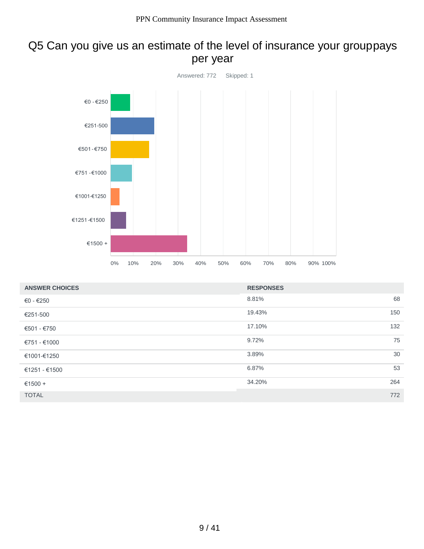# Q5 Can you give us an estimate of the level of insurance your grouppays per year



| <b>ANSWER CHOICES</b> | <b>RESPONSES</b> |     |
|-----------------------|------------------|-----|
| €0 - €250             | 8.81%            | 68  |
| €251-500              | 19.43%           | 150 |
| $€501 - €750$         | 17.10%           | 132 |
| €751 - €1000          | 9.72%            | 75  |
| €1001-€1250           | 3.89%            | 30  |
| €1251 - €1500         | 6.87%            | 53  |
| €1500 +               | 34.20%           | 264 |
| <b>TOTAL</b>          |                  | 772 |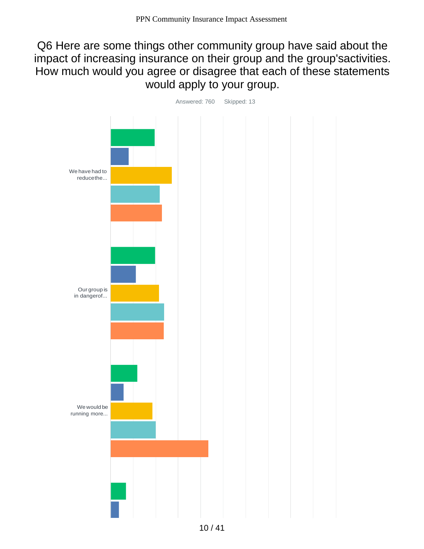# Q6 Here are some things other community group have said about the impact of increasing insurance on their group and the group'sactivities. How much would you agree or disagree that each of these statements would apply to your group.

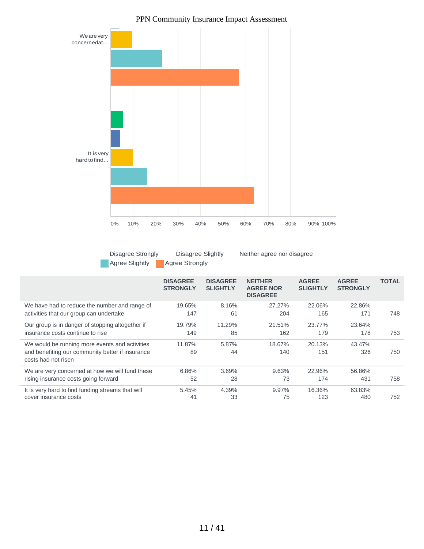

Disagree Strongly Agree Slightly **Agree Strongly** 

Disagree Slightly Neither agree nor disagree

|                                                                                          | <b>DISAGREE</b><br><b>STRONGLY</b> | <b>DISAGREE</b><br><b>SLIGHTLY</b> | <b>NEITHER</b><br><b>AGREE NOR</b><br><b>DISAGREE</b> | <b>AGREE</b><br><b>SLIGHTLY</b> | <b>AGREE</b><br><b>STRONGLY</b> | <b>TOTAL</b> |
|------------------------------------------------------------------------------------------|------------------------------------|------------------------------------|-------------------------------------------------------|---------------------------------|---------------------------------|--------------|
| We have had to reduce the number and range of<br>activities that our group can undertake | 19.65%<br>147                      | 8.16%<br>61                        | 27.27%<br>204                                         | 22.06%<br>165                   | 22.86%<br>171                   | 748          |
| Our group is in danger of stopping altogether if                                         | 19.79%                             | 11.29%                             | 21.51%                                                | 23.77%                          | 23.64%                          |              |
| insurance costs continue to rise                                                         | 149                                | 85                                 | 162                                                   | 179                             | 178                             | 753          |
| We would be running more events and activities                                           | 11.87%                             | 5.87%                              | 18.67%                                                | 20.13%                          | 43.47%                          |              |
| and benefiting our community better if insurance<br>costs had not risen                  | 89                                 | 44                                 | 140                                                   | 151                             | 326                             | 750          |
| We are very concerned at how we will fund these                                          | 6.86%                              | 3.69%                              | 9.63%                                                 | 22.96%                          | 56.86%                          |              |
| rising insurance costs going forward                                                     | 52                                 | 28                                 | 73                                                    | 174                             | 431                             | 758          |
| It is very hard to find funding streams that will                                        | 5.45%<br>41                        | 4.39%<br>33                        | 9.97%<br>75                                           | 16.36%<br>123                   | 63.83%<br>480                   | 752          |
| cover insurance costs                                                                    |                                    |                                    |                                                       |                                 |                                 |              |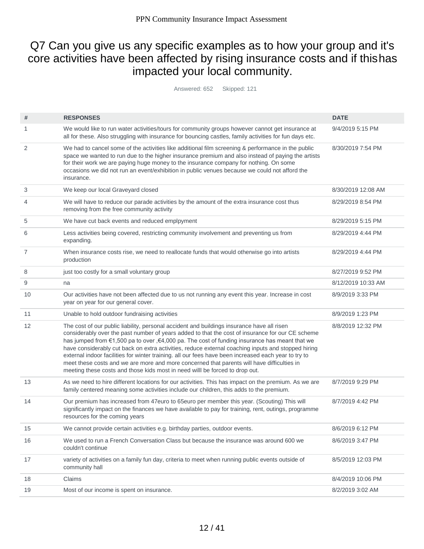# Q7 Can you give us any specific examples as to how your group and it's core activities have been affected by rising insurance costs and if thishas impacted your local community.

Answered: 652 Skipped: 121

| #  | <b>RESPONSES</b>                                                                                                                                                                                                                                                                                                                                                                                                                                                                                                                                                                                                                                                                            | <b>DATE</b>        |
|----|---------------------------------------------------------------------------------------------------------------------------------------------------------------------------------------------------------------------------------------------------------------------------------------------------------------------------------------------------------------------------------------------------------------------------------------------------------------------------------------------------------------------------------------------------------------------------------------------------------------------------------------------------------------------------------------------|--------------------|
| 1  | We would like to run water activities/tours for community groups however cannot get insurance at<br>all for these. Also struggling with insurance for bouncing castles, family activities for fun days etc.                                                                                                                                                                                                                                                                                                                                                                                                                                                                                 | 9/4/2019 5:15 PM   |
| 2  | We had to cancel some of the activities like additional film screening & performance in the public<br>space we wanted to run due to the higher insurance premium and also instead of paying the artists<br>for their work we are paying huge money to the insurance company for nothing. On some<br>occasions we did not run an event/exhibition in public venues because we could not afford the<br>insurance.                                                                                                                                                                                                                                                                             | 8/30/2019 7:54 PM  |
| 3  | We keep our local Graveyard closed                                                                                                                                                                                                                                                                                                                                                                                                                                                                                                                                                                                                                                                          | 8/30/2019 12:08 AM |
| 4  | We will have to reduce our parade activities by the amount of the extra insurance cost thus<br>removing from the free community activity                                                                                                                                                                                                                                                                                                                                                                                                                                                                                                                                                    | 8/29/2019 8:54 PM  |
| 5  | We have cut back events and reduced emplpyment                                                                                                                                                                                                                                                                                                                                                                                                                                                                                                                                                                                                                                              | 8/29/2019 5:15 PM  |
| 6  | Less activities being covered, restricting community involvement and preventing us from<br>expanding.                                                                                                                                                                                                                                                                                                                                                                                                                                                                                                                                                                                       | 8/29/2019 4:44 PM  |
| 7  | When insurance costs rise, we need to reallocate funds that would otherwise go into artists<br>production                                                                                                                                                                                                                                                                                                                                                                                                                                                                                                                                                                                   | 8/29/2019 4:44 PM  |
| 8  | just too costly for a small voluntary group                                                                                                                                                                                                                                                                                                                                                                                                                                                                                                                                                                                                                                                 | 8/27/2019 9:52 PM  |
| 9  | na                                                                                                                                                                                                                                                                                                                                                                                                                                                                                                                                                                                                                                                                                          | 8/12/2019 10:33 AM |
| 10 | Our activities have not been affected due to us not running any event this year. Increase in cost<br>year on year for our general cover.                                                                                                                                                                                                                                                                                                                                                                                                                                                                                                                                                    | 8/9/2019 3:33 PM   |
| 11 | Unable to hold outdoor fundraising activities                                                                                                                                                                                                                                                                                                                                                                                                                                                                                                                                                                                                                                               | 8/9/2019 1:23 PM   |
| 12 | The cost of our public liability, personal accident and buildings insurance have all risen<br>considerably over the past number of years added to that the cost of insurance for our CE scheme<br>has jumped from €1,500 pa to over ,€4,000 pa. The cost of funding insurance has meant that we<br>have considerably cut back on extra activities, reduce external coaching inputs and stopped hiring<br>external indoor facilities for winter training. all our fees have been increased each year to try to<br>meet these costs and we are more and more concerned that parents will have difficulties in<br>meeting these costs and those kids most in need willl be forced to drop out. | 8/8/2019 12:32 PM  |
| 13 | As we need to hire different locations for our activities. This has impact on the premium. As we are<br>family centered meaning some activities include our children, this adds to the premium.                                                                                                                                                                                                                                                                                                                                                                                                                                                                                             | 8/7/2019 9:29 PM   |
| 14 | Our premium has increased from 47euro to 65euro per member this year. (Scouting) This will<br>significantly impact on the finances we have available to pay for training, rent, outings, programme<br>resources for the coming years                                                                                                                                                                                                                                                                                                                                                                                                                                                        | 8/7/2019 4:42 PM   |
| 15 | We cannot provide certain activities e.g. birthday parties, outdoor events.                                                                                                                                                                                                                                                                                                                                                                                                                                                                                                                                                                                                                 | 8/6/2019 6:12 PM   |
| 16 | We used to run a French Conversation Class but because the insurance was around 600 we<br>couldn't continue                                                                                                                                                                                                                                                                                                                                                                                                                                                                                                                                                                                 | 8/6/2019 3:47 PM   |
| 17 | variety of activities on a family fun day, criteria to meet when running public events outside of<br>community hall                                                                                                                                                                                                                                                                                                                                                                                                                                                                                                                                                                         | 8/5/2019 12:03 PM  |
| 18 | Claims                                                                                                                                                                                                                                                                                                                                                                                                                                                                                                                                                                                                                                                                                      | 8/4/2019 10:06 PM  |
| 19 | Most of our income is spent on insurance.                                                                                                                                                                                                                                                                                                                                                                                                                                                                                                                                                                                                                                                   | 8/2/2019 3:02 AM   |
|    |                                                                                                                                                                                                                                                                                                                                                                                                                                                                                                                                                                                                                                                                                             |                    |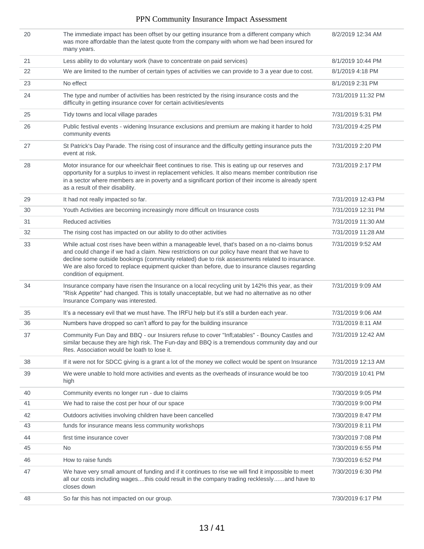| 20 | The immediate impact has been offset by our getting insurance from a different company which<br>was more affordable than the latest quote from the company with whom we had been insured for<br>many years.                                                                                                                                                                                                                      | 8/2/2019 12:34 AM  |
|----|----------------------------------------------------------------------------------------------------------------------------------------------------------------------------------------------------------------------------------------------------------------------------------------------------------------------------------------------------------------------------------------------------------------------------------|--------------------|
| 21 | Less ability to do voluntary work (have to concentrate on paid services)                                                                                                                                                                                                                                                                                                                                                         | 8/1/2019 10:44 PM  |
| 22 | We are limited to the number of certain types of activities we can provide to 3 a year due to cost.                                                                                                                                                                                                                                                                                                                              | 8/1/2019 4:18 PM   |
| 23 | No effect                                                                                                                                                                                                                                                                                                                                                                                                                        | 8/1/2019 2:31 PM   |
| 24 | The type and number of activities has been restricted by the rising insurance costs and the<br>difficulty in getting insurance cover for certain activities/events                                                                                                                                                                                                                                                               | 7/31/2019 11:32 PM |
| 25 | Tidy towns and local village parades                                                                                                                                                                                                                                                                                                                                                                                             | 7/31/2019 5:31 PM  |
| 26 | Public festival events - widening Insurance exclusions and premium are making it harder to hold<br>community events                                                                                                                                                                                                                                                                                                              | 7/31/2019 4:25 PM  |
| 27 | St Patrick's Day Parade. The rising cost of insurance and the difficulty getting insurance puts the<br>event at risk.                                                                                                                                                                                                                                                                                                            | 7/31/2019 2:20 PM  |
| 28 | Motor insurance for our wheelchair fleet continues to rise. This is eating up our reserves and<br>opportunity for a surplus to invest in replacement vehicles. It also means member contribution rise<br>in a sector where members are in poverty and a significant portion of their income is already spent<br>as a result of their disability.                                                                                 | 7/31/2019 2:17 PM  |
| 29 | It had not really impacted so far.                                                                                                                                                                                                                                                                                                                                                                                               | 7/31/2019 12:43 PM |
| 30 | Youth Activities are becoming increasingly more difficult on Insurance costs                                                                                                                                                                                                                                                                                                                                                     | 7/31/2019 12:31 PM |
| 31 | Reduced activities                                                                                                                                                                                                                                                                                                                                                                                                               | 7/31/2019 11:30 AM |
| 32 | The rising cost has impacted on our ability to do other activities                                                                                                                                                                                                                                                                                                                                                               | 7/31/2019 11:28 AM |
| 33 | While actual cost rises have been within a manageable level, that's based on a no-claims bonus<br>and could change if we had a claim. New restrictions on our policy have meant that we have to<br>decline some outside bookings (community related) due to risk assessments related to insurance.<br>We are also forced to replace equipment quicker than before, due to insurance clauses regarding<br>condition of equipment. | 7/31/2019 9:52 AM  |
| 34 | Insurance company have risen the Insurance on a local recycling unit by 142% this year, as their<br>"Risk Appetite" had changed. This is totally unacceptable, but we had no alternative as no other<br>Insurance Company was interested.                                                                                                                                                                                        | 7/31/2019 9:09 AM  |
| 35 | It's a necessary evil that we must have. The IRFU help but it's still a burden each year.                                                                                                                                                                                                                                                                                                                                        | 7/31/2019 9:06 AM  |
| 36 | Numbers have dropped so can't afford to pay for the building insurance                                                                                                                                                                                                                                                                                                                                                           | 7/31/2019 8:11 AM  |
| 37 | Community Fun Day and BBQ - our Insiurers refuse to cover "Infl;atables" - Bouncy Castles and<br>similar because they are high risk. The Fun-day and BBQ is a tremendous community day and our<br>Res. Association would be loath to lose it.                                                                                                                                                                                    | 7/31/2019 12:42 AM |
| 38 | If it were not for SDCC giving is a grant a lot of the money we collect would be spent on Insurance                                                                                                                                                                                                                                                                                                                              | 7/31/2019 12:13 AM |
| 39 | We were unable to hold more activities and events as the overheads of insurance would be too<br>high                                                                                                                                                                                                                                                                                                                             | 7/30/2019 10:41 PM |
| 40 | Community events no longer run - due to claims                                                                                                                                                                                                                                                                                                                                                                                   | 7/30/2019 9:05 PM  |
| 41 | We had to raise the cost per hour of our space                                                                                                                                                                                                                                                                                                                                                                                   | 7/30/2019 9:00 PM  |
| 42 | Outdoors activities involving children have been cancelled                                                                                                                                                                                                                                                                                                                                                                       | 7/30/2019 8:47 PM  |
| 43 | funds for insurance means less community workshops                                                                                                                                                                                                                                                                                                                                                                               | 7/30/2019 8:11 PM  |
| 44 | first time insurance cover                                                                                                                                                                                                                                                                                                                                                                                                       | 7/30/2019 7:08 PM  |
| 45 | No                                                                                                                                                                                                                                                                                                                                                                                                                               | 7/30/2019 6:55 PM  |
| 46 | How to raise funds                                                                                                                                                                                                                                                                                                                                                                                                               | 7/30/2019 6:52 PM  |
| 47 | We have very small amount of funding and if it continues to rise we will find it impossible to meet<br>all our costs including wagesthis could result in the company trading recklesslyand have to<br>closes down                                                                                                                                                                                                                | 7/30/2019 6:30 PM  |
| 48 | So far this has not impacted on our group.                                                                                                                                                                                                                                                                                                                                                                                       | 7/30/2019 6:17 PM  |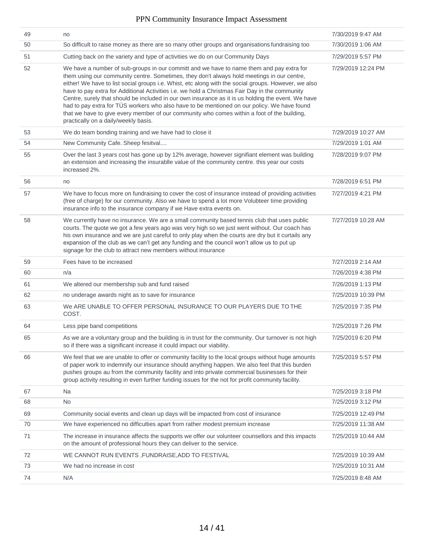| 49 | no                                                                                                                                                                                                                                                                                                                                                                                                                                                                                                                                                                                                                                                                                                                                           | 7/30/2019 9:47 AM  |
|----|----------------------------------------------------------------------------------------------------------------------------------------------------------------------------------------------------------------------------------------------------------------------------------------------------------------------------------------------------------------------------------------------------------------------------------------------------------------------------------------------------------------------------------------------------------------------------------------------------------------------------------------------------------------------------------------------------------------------------------------------|--------------------|
| 50 | So difficult to raise money as there are so many other groups and organisations fundraising too                                                                                                                                                                                                                                                                                                                                                                                                                                                                                                                                                                                                                                              | 7/30/2019 1:06 AM  |
| 51 | Cutting back on the variety and type of activities we do on our Community Days                                                                                                                                                                                                                                                                                                                                                                                                                                                                                                                                                                                                                                                               | 7/29/2019 5:57 PM  |
| 52 | We have a number of sub-groups in our committ and we have to name them and pay extra for<br>them using our community centre. Sometimes, they don't always hold meetings in our centre,<br>either! We have to list social groups i.e. Whist, etc along with the social groups. However, we also<br>have to pay extra for Additional Activities i.e. we hold a Christmas Fair Day in the community<br>Centre, surely that should be included in our own insurance as it is us holding the event. We have<br>had to pay extra for TÚS workers who also have to be mentioned on our policy. We have found<br>that we have to give every member of our community who comes within a foot of the building,<br>practically on a daily/weekly basis. | 7/29/2019 12:24 PM |
| 53 | We do team bonding training and we have had to close it                                                                                                                                                                                                                                                                                                                                                                                                                                                                                                                                                                                                                                                                                      | 7/29/2019 10:27 AM |
| 54 | New Community Cafe. Sheep fesitval                                                                                                                                                                                                                                                                                                                                                                                                                                                                                                                                                                                                                                                                                                           | 7/29/2019 1:01 AM  |
| 55 | Over the last 3 years cost has gone up by 12% average, however signifiant element was building<br>an extension and increasing the insurablle value of the community centre. this year our costs<br>increased 2%.                                                                                                                                                                                                                                                                                                                                                                                                                                                                                                                             | 7/28/2019 9:07 PM  |
| 56 | no                                                                                                                                                                                                                                                                                                                                                                                                                                                                                                                                                                                                                                                                                                                                           | 7/28/2019 6:51 PM  |
| 57 | We have to focus more on fundraising to cover the cost of insurance instead of providing activities<br>(free of charge) for our community. Also we have to spend a lot more Volubteer time providing<br>insurance info to the insurance company if we Have extra events on.                                                                                                                                                                                                                                                                                                                                                                                                                                                                  | 7/27/2019 4:21 PM  |
| 58 | We currently have no insurance. We are a small community based tennis club that uses public<br>courts. The quote we got a few years ago was very high so we just went without. Our coach has<br>his own insurance and we are just careful to only play when the courts are dry but it curtails any<br>expansion of the club as we can't get any funding and the council won't allow us to put up<br>signage for the club to attract new members without insurance                                                                                                                                                                                                                                                                            | 7/27/2019 10:28 AM |
| 59 | Fees have to be increased                                                                                                                                                                                                                                                                                                                                                                                                                                                                                                                                                                                                                                                                                                                    | 7/27/2019 2:14 AM  |
| 60 | n/a                                                                                                                                                                                                                                                                                                                                                                                                                                                                                                                                                                                                                                                                                                                                          | 7/26/2019 4:38 PM  |
| 61 | We altered our membership sub and fund raised                                                                                                                                                                                                                                                                                                                                                                                                                                                                                                                                                                                                                                                                                                | 7/26/2019 1:13 PM  |
| 62 | no underage awards night as to save for insurance                                                                                                                                                                                                                                                                                                                                                                                                                                                                                                                                                                                                                                                                                            | 7/25/2019 10:39 PM |
| 63 | We ARE UNABLE TO OFFER PERSONAL INSURANCE TO OUR PLAYERS DUE TO THE<br>COST.                                                                                                                                                                                                                                                                                                                                                                                                                                                                                                                                                                                                                                                                 | 7/25/2019 7:35 PM  |
| 64 | Less pipe band competitions                                                                                                                                                                                                                                                                                                                                                                                                                                                                                                                                                                                                                                                                                                                  | 7/25/2019 7:26 PM  |
| 65 | As we are a voluntary group and the building is in trust for the community. Our turnover is not high<br>so if there was a significant increase it could impact our viability.                                                                                                                                                                                                                                                                                                                                                                                                                                                                                                                                                                | 7/25/2019 6:20 PM  |
| 66 | We feel that we are unable to offer or community facility to the local groups without huge amounts<br>of paper work to indemnify our insurance should anything happen. We also feel that this burden<br>pushes groups au from the community facility and into private commercial businesses for their<br>group activity resulting in even further funding issues for the not for profit community facility.                                                                                                                                                                                                                                                                                                                                  | 7/25/2019 5:57 PM  |
| 67 | Na                                                                                                                                                                                                                                                                                                                                                                                                                                                                                                                                                                                                                                                                                                                                           | 7/25/2019 3:18 PM  |
| 68 | <b>No</b>                                                                                                                                                                                                                                                                                                                                                                                                                                                                                                                                                                                                                                                                                                                                    | 7/25/2019 3:12 PM  |
| 69 | Community social events and clean up days will be impacted from cost of insurance                                                                                                                                                                                                                                                                                                                                                                                                                                                                                                                                                                                                                                                            | 7/25/2019 12:49 PM |
| 70 | We have experienced no difficulties apart from rather modest premium increase                                                                                                                                                                                                                                                                                                                                                                                                                                                                                                                                                                                                                                                                | 7/25/2019 11:38 AM |
| 71 | The increase in insurance affects the supports we offer our volunteer counsellors and this impacts<br>on the amount of professional hours they can deliver to the service.                                                                                                                                                                                                                                                                                                                                                                                                                                                                                                                                                                   | 7/25/2019 10:44 AM |
| 72 | WE CANNOT RUN EVENTS, FUNDRAISE, ADD TO FESTIVAL                                                                                                                                                                                                                                                                                                                                                                                                                                                                                                                                                                                                                                                                                             | 7/25/2019 10:39 AM |
| 73 | We had no increase in cost                                                                                                                                                                                                                                                                                                                                                                                                                                                                                                                                                                                                                                                                                                                   | 7/25/2019 10:31 AM |
| 74 | N/A                                                                                                                                                                                                                                                                                                                                                                                                                                                                                                                                                                                                                                                                                                                                          | 7/25/2019 8:48 AM  |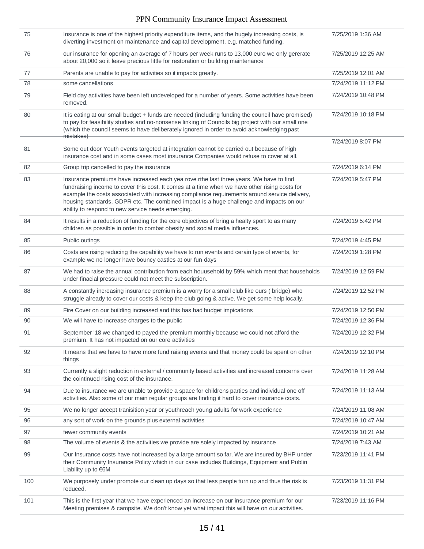| 75  | Insurance is one of the highest priority expenditure items, and the hugely increasing costs, is<br>diverting investment on maintenance and capital development, e.g. matched funding.                                                                                                                                                                                                                                                    | 7/25/2019 1:36 AM  |
|-----|------------------------------------------------------------------------------------------------------------------------------------------------------------------------------------------------------------------------------------------------------------------------------------------------------------------------------------------------------------------------------------------------------------------------------------------|--------------------|
| 76  | our insurance for opening an average of 7 hours per week runs to 13,000 euro we only gererate<br>about 20,000 so it leave precious little for restoration or building maintenance                                                                                                                                                                                                                                                        | 7/25/2019 12:25 AM |
| 77  | Parents are unable to pay for activities so it impacts greatly.                                                                                                                                                                                                                                                                                                                                                                          | 7/25/2019 12:01 AM |
| 78  | some cancellations                                                                                                                                                                                                                                                                                                                                                                                                                       | 7/24/2019 11:12 PM |
| 79  | Field day activities have been left undeveloped for a number of years. Some activities have been<br>removed.                                                                                                                                                                                                                                                                                                                             | 7/24/2019 10:48 PM |
| 80  | It is eating at our small budget + funds are needed (including funding the council have promised)<br>to pay for feasibility studies and no-nonsense linking of Councils big project with our small one<br>(which the council seems to have deliberately ignored in order to avoid acknowledging past<br><del>mistakes)</del>                                                                                                             | 7/24/2019 10:18 PM |
| 81  | Some out door Youth events targeted at integration cannot be carried out because of high<br>insurance cost and in some cases most insurance Companies would refuse to cover at all.                                                                                                                                                                                                                                                      | 7/24/2019 8:07 PM  |
| 82  | Group trip cancelled to pay the insurance                                                                                                                                                                                                                                                                                                                                                                                                | 7/24/2019 6:14 PM  |
| 83  | Insurance premiums have increased each yea rove rthe last three years. We have to find<br>fundraising income to cover this cost. It comes at a time when we have other rising costs for<br>example the costs associated with increasing compliance requirements around service delivery,<br>housing standards, GDPR etc. The combined impact is a huge challenge and impacts on our<br>ability to respond to new service needs emerging. | 7/24/2019 5:47 PM  |
| 84  | It results in a reduction of funding for the core objectives of bring a healty sport to as many<br>children as possible in order to combat obesity and social media influences.                                                                                                                                                                                                                                                          | 7/24/2019 5:42 PM  |
| 85  | Public outings                                                                                                                                                                                                                                                                                                                                                                                                                           | 7/24/2019 4:45 PM  |
| 86  | Costs are rising reducing the capability we have to run events and cerain type of events, for<br>example we no longer have bouncy castles at our fun days                                                                                                                                                                                                                                                                                | 7/24/2019 1:28 PM  |
| 87  | We had to raise the annual contribution from each houusehold by 59% which ment that households<br>under finacial pressure could not meet the subscription.                                                                                                                                                                                                                                                                               | 7/24/2019 12:59 PM |
| 88  | A constantly increasing insurance premium is a worry for a small club like ours (bridge) who<br>struggle already to cover our costs & keep the club going & active. We get some help locally.                                                                                                                                                                                                                                            | 7/24/2019 12:52 PM |
| 89  | Fire Cover on our building increased and this has had budget impications                                                                                                                                                                                                                                                                                                                                                                 | 7/24/2019 12:50 PM |
| 90  | We will have to increase charges to the public                                                                                                                                                                                                                                                                                                                                                                                           | 7/24/2019 12:36 PM |
| 91  | September '18 we changed to payed the premium monthly because we could not afford the<br>premium. It has not impacted on our core activities                                                                                                                                                                                                                                                                                             | 7/24/2019 12:32 PM |
| 92  | It means that we have to have more fund raising events and that money could be spent on other<br>things                                                                                                                                                                                                                                                                                                                                  | 7/24/2019 12:10 PM |
| 93  | Currently a slight reduction in external / community based activities and increased concerns over<br>the cointinued rising cost of the insurance.                                                                                                                                                                                                                                                                                        | 7/24/2019 11:28 AM |
| 94  | Due to insurance we are unable to provide a space for childrens parties and individual one off<br>activities. Also some of our main regular groups are finding it hard to cover insurance costs.                                                                                                                                                                                                                                         | 7/24/2019 11:13 AM |
| 95  | We no longer accept tranisition year or youthreach young adults for work experience                                                                                                                                                                                                                                                                                                                                                      | 7/24/2019 11:08 AM |
| 96  | any sort of work on the grounds plus external activities                                                                                                                                                                                                                                                                                                                                                                                 | 7/24/2019 10:47 AM |
| 97  | fewer community events                                                                                                                                                                                                                                                                                                                                                                                                                   | 7/24/2019 10:21 AM |
| 98  | The volume of events & the activities we provide are solely impacted by insurance                                                                                                                                                                                                                                                                                                                                                        | 7/24/2019 7:43 AM  |
| 99  | Our Insurance costs have not increased by a large amount so far. We are insured by BHP under<br>their Community Insurance Policy which in our case includes Buildings, Equipment and Publin<br>Liability up to €6M                                                                                                                                                                                                                       | 7/23/2019 11:41 PM |
| 100 | We purposely under promote our clean up days so that less people turn up and thus the risk is<br>reduced.                                                                                                                                                                                                                                                                                                                                | 7/23/2019 11:31 PM |
| 101 | This is the first year that we have experienced an increase on our insurance premium for our<br>Meeting premises & campsite. We don't know yet what impact this will have on our activities.                                                                                                                                                                                                                                             | 7/23/2019 11:16 PM |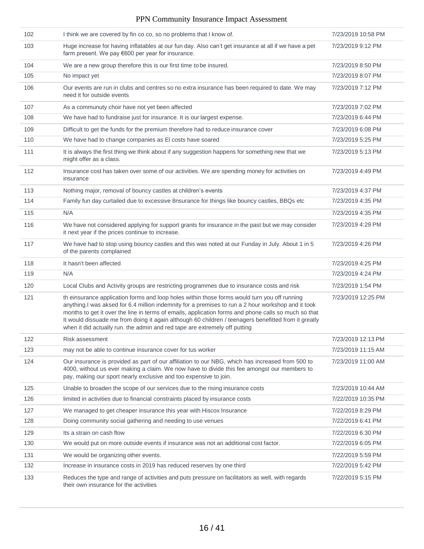| 102 | I think we are covered by fin co co, so no problems that I know of.                                                                                                                                                                                                                                                                                                                                                                                                                               | 7/23/2019 10:58 PM |
|-----|---------------------------------------------------------------------------------------------------------------------------------------------------------------------------------------------------------------------------------------------------------------------------------------------------------------------------------------------------------------------------------------------------------------------------------------------------------------------------------------------------|--------------------|
| 103 | Huge increase for having inflatables at our fun day. Also can't get insurance at all if we have a pet<br>farm present. We pay €600 per year for insurance.                                                                                                                                                                                                                                                                                                                                        | 7/23/2019 9:12 PM  |
| 104 | We are a new group therefore this is our first time to be insured.                                                                                                                                                                                                                                                                                                                                                                                                                                | 7/23/2019 8:50 PM  |
| 105 | No impact yet                                                                                                                                                                                                                                                                                                                                                                                                                                                                                     | 7/23/2019 8:07 PM  |
| 106 | Our events are run in clubs and centres so no extra insurance has been required to date. We may<br>need it for outside events                                                                                                                                                                                                                                                                                                                                                                     | 7/23/2019 7:12 PM  |
| 107 | As a communuty choir have not yet been affected                                                                                                                                                                                                                                                                                                                                                                                                                                                   | 7/23/2019 7:02 PM  |
| 108 | We have had to fundraise just for insurance. It is our largest expense.                                                                                                                                                                                                                                                                                                                                                                                                                           | 7/23/2019 6:44 PM  |
| 109 | Difficult to get the funds for the premium therefore had to reduce insurance cover                                                                                                                                                                                                                                                                                                                                                                                                                | 7/23/2019 6:08 PM  |
| 110 | We have had to change companies as El costs have soared                                                                                                                                                                                                                                                                                                                                                                                                                                           | 7/23/2019 5:25 PM  |
| 111 | It is always the first thing we think about if any suggestion happens for something new that we<br>might offer as a class.                                                                                                                                                                                                                                                                                                                                                                        | 7/23/2019 5:13 PM  |
| 112 | Insurance cost has taken over some of our activities. We are spending money for activities on<br>insurance                                                                                                                                                                                                                                                                                                                                                                                        | 7/23/2019 4:49 PM  |
| 113 | Nothing major, removal of bouncy castles at children's events                                                                                                                                                                                                                                                                                                                                                                                                                                     | 7/23/2019 4:37 PM  |
| 114 | Family fun day curtailed due to excessive 8nsurance for things like bouncy castles, BBQs etc                                                                                                                                                                                                                                                                                                                                                                                                      | 7/23/2019 4:35 PM  |
| 115 | N/A                                                                                                                                                                                                                                                                                                                                                                                                                                                                                               | 7/23/2019 4:35 PM  |
| 116 | We have not considered applying for support grants for insurance in the past but we may consider<br>it next year if the prices continue to increase.                                                                                                                                                                                                                                                                                                                                              | 7/23/2019 4:29 PM  |
| 117 | We have had to stop using bouncy castles and this was noted at our Funday in July. About 1 in 5<br>of the parents complained                                                                                                                                                                                                                                                                                                                                                                      | 7/23/2019 4:26 PM  |
| 118 | It hasn't been affected                                                                                                                                                                                                                                                                                                                                                                                                                                                                           | 7/23/2019 4:25 PM  |
| 119 | N/A                                                                                                                                                                                                                                                                                                                                                                                                                                                                                               | 7/23/2019 4:24 PM  |
| 120 | Local Clubs and Activity groups are restricting programmes due to insurance costs and risk                                                                                                                                                                                                                                                                                                                                                                                                        | 7/23/2019 1:54 PM  |
| 121 | th einsurance application forms and loop holes within those forms would turn you off running<br>anything. I was aksed for 6.4 million indemnity for a premises to run a 2 hour workshop and it took<br>months to get it over the line in terms of emails, application forms and phone calls so much so that<br>It would dissuade me from doing it again although 60 children / teenagers benefitted from it greatly<br>when it did actually run. the admin and red tape are extremely off putting | 7/23/2019 12:25 PM |
| 122 | Risk assessment                                                                                                                                                                                                                                                                                                                                                                                                                                                                                   | 7/23/2019 12:13 PM |
| 123 | may not be able to continue insurance cover for tus worker                                                                                                                                                                                                                                                                                                                                                                                                                                        | 7/23/2019 11:15 AM |
| 124 | Our insurance is provided as part of our affiliation to our NBG, which has increased from 500 to<br>4000, without us ever making a claim. We now have to divide this fee amongst our members to<br>pay, making our sport nearly exclusive and too expensive to join.                                                                                                                                                                                                                              | 7/23/2019 11:00 AM |
| 125 | Unable to broaden the scope of our services due to the rising insurance costs                                                                                                                                                                                                                                                                                                                                                                                                                     | 7/23/2019 10:44 AM |
| 126 | limited in activities due to financial constraints placed by insurance costs                                                                                                                                                                                                                                                                                                                                                                                                                      | 7/22/2019 10:35 PM |
| 127 | We managed to get cheaper insurance this year with Hiscox Insurance                                                                                                                                                                                                                                                                                                                                                                                                                               | 7/22/2019 8:29 PM  |
| 128 | Doing community social gathering and needing to use venues                                                                                                                                                                                                                                                                                                                                                                                                                                        | 7/22/2019 6:41 PM  |
| 129 | Its a strain on cash flow                                                                                                                                                                                                                                                                                                                                                                                                                                                                         | 7/22/2019 6:30 PM  |
| 130 | We would put on more outside events if insurance was not an additional cost factor.                                                                                                                                                                                                                                                                                                                                                                                                               | 7/22/2019 6:05 PM  |
| 131 | We would be organizing other events.                                                                                                                                                                                                                                                                                                                                                                                                                                                              | 7/22/2019 5:59 PM  |
| 132 | Increase in insurance costs in 2019 has reduced reserves by one third                                                                                                                                                                                                                                                                                                                                                                                                                             | 7/22/2019 5:42 PM  |
| 133 | Reduces the type and range of activities and puts pressure on facilitators as well, with regards<br>their own insurance for the activities                                                                                                                                                                                                                                                                                                                                                        | 7/22/2019 5:15 PM  |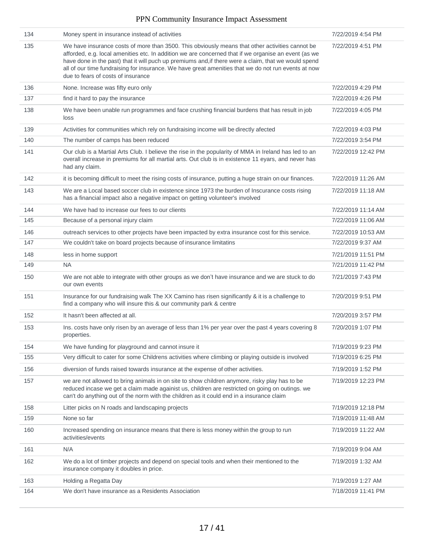| 134 | Money spent in insurance instead of activities                                                                                                                                                                                                                                                                                                                                                                                                               | 7/22/2019 4:54 PM  |
|-----|--------------------------------------------------------------------------------------------------------------------------------------------------------------------------------------------------------------------------------------------------------------------------------------------------------------------------------------------------------------------------------------------------------------------------------------------------------------|--------------------|
| 135 | We have insurance costs of more than 3500. This obviously means that other activities cannot be<br>afforded, e.g. local amenities etc. In addition we are concerned that if we organise an event (as we<br>have done in the past) that it will puch up premiums and, if there were a claim, that we would spend<br>all of our time fundraising for insurance. We have great amenities that we do not run events at now<br>due to fears of costs of insurance | 7/22/2019 4:51 PM  |
| 136 | None. Increase was fifty euro only                                                                                                                                                                                                                                                                                                                                                                                                                           | 7/22/2019 4:29 PM  |
| 137 | find it hard to pay the insurance                                                                                                                                                                                                                                                                                                                                                                                                                            | 7/22/2019 4:26 PM  |
| 138 | We have been unable run programmes and face crushing financial burdens that has result in job<br>loss                                                                                                                                                                                                                                                                                                                                                        | 7/22/2019 4:05 PM  |
| 139 | Activities for communities which rely on fundraising income will be directly afected                                                                                                                                                                                                                                                                                                                                                                         | 7/22/2019 4:03 PM  |
| 140 | The number of camps has been reduced                                                                                                                                                                                                                                                                                                                                                                                                                         | 7/22/2019 3:54 PM  |
| 141 | Our club is a Martial Arts Club. I believe the rise in the popularity of MMA in Ireland has led to an<br>overall increase in premiums for all martial arts. Out club is in existence 11 eyars, and never has<br>had any claim.                                                                                                                                                                                                                               | 7/22/2019 12:42 PM |
| 142 | it is becoming difficult to meet the rising costs of insurance, putting a huge strain on our finances.                                                                                                                                                                                                                                                                                                                                                       | 7/22/2019 11:26 AM |
| 143 | We are a Local based soccer club in existence since 1973 the burden of Inscurance costs rising<br>has a financial impact also a negative impact on getting volunteer's involved                                                                                                                                                                                                                                                                              | 7/22/2019 11:18 AM |
| 144 | We have had to increase our fees to our clients                                                                                                                                                                                                                                                                                                                                                                                                              | 7/22/2019 11:14 AM |
| 145 | Because of a personal injury claim                                                                                                                                                                                                                                                                                                                                                                                                                           | 7/22/2019 11:06 AM |
| 146 | outreach services to other projects have been impacted by extra insurance cost for this service.                                                                                                                                                                                                                                                                                                                                                             | 7/22/2019 10:53 AM |
| 147 | We couldn't take on board projects because of insurance limitatins                                                                                                                                                                                                                                                                                                                                                                                           | 7/22/2019 9:37 AM  |
| 148 | less in home support                                                                                                                                                                                                                                                                                                                                                                                                                                         | 7/21/2019 11:51 PM |
| 149 | <b>NA</b>                                                                                                                                                                                                                                                                                                                                                                                                                                                    | 7/21/2019 11:42 PM |
| 150 | We are not able to integrate with other groups as we don't have insurance and we are stuck to do<br>our own events                                                                                                                                                                                                                                                                                                                                           | 7/21/2019 7:43 PM  |
| 151 | Insurance for our fundraising walk The XX Camino has risen significantly & it is a challenge to<br>find a company who will insure this & our community park & centre                                                                                                                                                                                                                                                                                         | 7/20/2019 9:51 PM  |
| 152 | It hasn't been affected at all.                                                                                                                                                                                                                                                                                                                                                                                                                              | 7/20/2019 3:57 PM  |
| 153 | Ins. costs have only risen by an average of less than 1% per year over the past 4 years covering 8<br>properties.                                                                                                                                                                                                                                                                                                                                            | 7/20/2019 1:07 PM  |
| 154 | We have funding for playground and cannot insure it                                                                                                                                                                                                                                                                                                                                                                                                          | 7/19/2019 9:23 PM  |
| 155 | Very difficult to cater for some Childrens activities where climbing or playing outside is involved                                                                                                                                                                                                                                                                                                                                                          | 7/19/2019 6:25 PM  |
| 156 | diversion of funds raised towards insurance at the expense of other activities.                                                                                                                                                                                                                                                                                                                                                                              | 7/19/2019 1:52 PM  |
| 157 | we are not allowed to bring animals in on site to show children anymore, risky play has to be<br>reduced incase we get a claim made againist us, children are restricted on going on outings. we<br>can't do anything out of the norm with the children as it could end in a insurance claim                                                                                                                                                                 | 7/19/2019 12:23 PM |
| 158 | Litter picks on N roads and landscaping projects                                                                                                                                                                                                                                                                                                                                                                                                             | 7/19/2019 12:18 PM |
| 159 | None so far                                                                                                                                                                                                                                                                                                                                                                                                                                                  | 7/19/2019 11:48 AM |
| 160 | Increased spending on insurance means that there is less money within the group to run<br>activities/events                                                                                                                                                                                                                                                                                                                                                  | 7/19/2019 11:22 AM |
| 161 | N/A                                                                                                                                                                                                                                                                                                                                                                                                                                                          | 7/19/2019 9:04 AM  |
| 162 | We do a lot of timber projects and depend on special tools and when their mentioned to the<br>insurance company it doubles in price.                                                                                                                                                                                                                                                                                                                         | 7/19/2019 1:32 AM  |
| 163 | Holding a Regatta Day                                                                                                                                                                                                                                                                                                                                                                                                                                        | 7/19/2019 1:27 AM  |
| 164 | We don't have insurance as a Residents Association                                                                                                                                                                                                                                                                                                                                                                                                           | 7/18/2019 11:41 PM |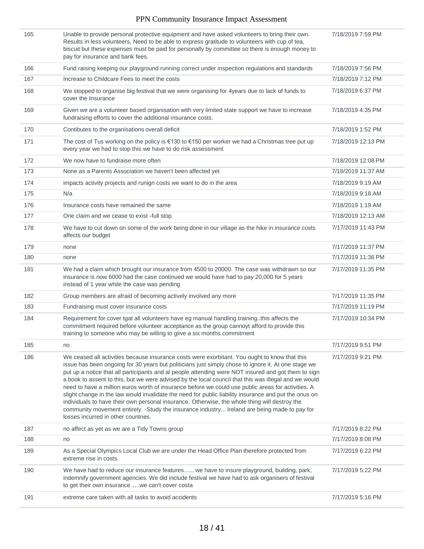| 165 | Unable to provide personal protective equipment and have asked volunteers to bring their own.<br>Results in less volunteers. Need to be able to express gratitude to volunteers with cup of tea,<br>biscuit but these expenses must be paid for personally by committee so there is enough money to<br>pay for insurance and bank fees.                                                                                                                                                                                                                                                                                                                                                                                                                                                                                                                                     | 7/18/2019 7:59 PM  |
|-----|-----------------------------------------------------------------------------------------------------------------------------------------------------------------------------------------------------------------------------------------------------------------------------------------------------------------------------------------------------------------------------------------------------------------------------------------------------------------------------------------------------------------------------------------------------------------------------------------------------------------------------------------------------------------------------------------------------------------------------------------------------------------------------------------------------------------------------------------------------------------------------|--------------------|
| 166 | Fund raising keeping our playground running correct under inspection regulations and standards                                                                                                                                                                                                                                                                                                                                                                                                                                                                                                                                                                                                                                                                                                                                                                              | 7/18/2019 7:56 PM  |
| 167 | Increase to Childcare Fees to meet the costs                                                                                                                                                                                                                                                                                                                                                                                                                                                                                                                                                                                                                                                                                                                                                                                                                                | 7/18/2019 7:12 PM  |
| 168 | We stopped to organise big festival that we were organising for 4years due to lack of funds to<br>cover the Insurance                                                                                                                                                                                                                                                                                                                                                                                                                                                                                                                                                                                                                                                                                                                                                       | 7/18/2019 6:37 PM  |
| 169 | Given we are a volunteer based organisation with very limited state support we have to increase<br>fundraising efforts to cover the additional insurance costs.                                                                                                                                                                                                                                                                                                                                                                                                                                                                                                                                                                                                                                                                                                             | 7/18/2019 4:35 PM  |
| 170 | Contibutes to the organisations overall deficit                                                                                                                                                                                                                                                                                                                                                                                                                                                                                                                                                                                                                                                                                                                                                                                                                             | 7/18/2019 1:52 PM  |
| 171 | The cost of Tus working on the policy is €130 to €150 per worker we had a Christmas tree put up<br>every year we had to stop this we have to do risk assessment                                                                                                                                                                                                                                                                                                                                                                                                                                                                                                                                                                                                                                                                                                             | 7/18/2019 12:13 PM |
| 172 | We now have to fundraise more often                                                                                                                                                                                                                                                                                                                                                                                                                                                                                                                                                                                                                                                                                                                                                                                                                                         | 7/18/2019 12:08 PM |
| 173 | None as a Parents Association we haven't been affected yet                                                                                                                                                                                                                                                                                                                                                                                                                                                                                                                                                                                                                                                                                                                                                                                                                  | 7/18/2019 11:37 AM |
| 174 | impacts activity projects and runign costs we want to do in the area                                                                                                                                                                                                                                                                                                                                                                                                                                                                                                                                                                                                                                                                                                                                                                                                        | 7/18/2019 9:19 AM  |
| 175 | N/a                                                                                                                                                                                                                                                                                                                                                                                                                                                                                                                                                                                                                                                                                                                                                                                                                                                                         | 7/18/2019 9:18 AM  |
| 176 | Insurance costs have remained the same                                                                                                                                                                                                                                                                                                                                                                                                                                                                                                                                                                                                                                                                                                                                                                                                                                      | 7/18/2019 1:19 AM  |
| 177 | One claim and we cease to exist -full stop                                                                                                                                                                                                                                                                                                                                                                                                                                                                                                                                                                                                                                                                                                                                                                                                                                  | 7/18/2019 12:13 AM |
| 178 | We have to cut down on some of the work being done in our village as the hike in insurance costs<br>affects our budget                                                                                                                                                                                                                                                                                                                                                                                                                                                                                                                                                                                                                                                                                                                                                      | 7/17/2019 11:43 PM |
| 179 | none                                                                                                                                                                                                                                                                                                                                                                                                                                                                                                                                                                                                                                                                                                                                                                                                                                                                        | 7/17/2019 11:37 PM |
| 180 | none                                                                                                                                                                                                                                                                                                                                                                                                                                                                                                                                                                                                                                                                                                                                                                                                                                                                        | 7/17/2019 11:36 PM |
| 181 | We had a claim which brought our insurance from 4500 to 20000. The case was withdrawn so our<br>insurance is now 6000 had the case continued we would have had to pay 20,000 for 5 years<br>instead of 1 year while the case was pending                                                                                                                                                                                                                                                                                                                                                                                                                                                                                                                                                                                                                                    | 7/17/2019 11:35 PM |
| 182 | Group members are afraid of becoming actively involved any more                                                                                                                                                                                                                                                                                                                                                                                                                                                                                                                                                                                                                                                                                                                                                                                                             | 7/17/2019 11:35 PM |
| 183 | Fundraising must cover insurance costs                                                                                                                                                                                                                                                                                                                                                                                                                                                                                                                                                                                                                                                                                                                                                                                                                                      | 7/17/2019 11:19 PM |
| 184 | Requirement for cover tgat all volunteers have eg manual handling trainingthis affects the<br>commitment required before volunteer acceptance as the group cannoyt afford to provide this<br>training to someone who may be willing to giive a six months commitment                                                                                                                                                                                                                                                                                                                                                                                                                                                                                                                                                                                                        | 7/17/2019 10:34 PM |
| 185 | no                                                                                                                                                                                                                                                                                                                                                                                                                                                                                                                                                                                                                                                                                                                                                                                                                                                                          | 7/17/2019 9:51 PM  |
| 186 | We ceased all activities because insurance costs were exorbitant. You ought to know that this<br>issue has been ongoing for 30 years but politicians just simply chose to ignore it. At one stage we<br>put up a notice that all participants and al people attending were NOT insured and got them to sign<br>a book to assent to this, but we were advised by the local council that this was illegal and we would<br>need to have a million euros worth of insurance before we could use public areas for activities. A<br>slight change in the law would invalidate the need for public liability insurance and put the onus on<br>individuals to have their own personal insurance. Otherwise, the whole thing will destroy the<br>community movement entirely. -Study the insurance industry Ireland are being made to pay for<br>losses incurred in other countries. | 7/17/2019 9:21 PM  |
| 187 | no affect as yet as we are a Tidy Towns group                                                                                                                                                                                                                                                                                                                                                                                                                                                                                                                                                                                                                                                                                                                                                                                                                               | 7/17/2019 8:22 PM  |
| 188 | no                                                                                                                                                                                                                                                                                                                                                                                                                                                                                                                                                                                                                                                                                                                                                                                                                                                                          | 7/17/2019 8:08 PM  |
| 189 | As a Special Olympics Local Club we are under the Head Office Plan therefore protected from<br>extreme rise in costs.                                                                                                                                                                                                                                                                                                                                                                                                                                                                                                                                                                                                                                                                                                                                                       | 7/17/2019 6:22 PM  |
| 190 | We have had to reduce our insurance features  we have to insure playground, building, park,<br>indemnify government agencies. We did include festival we have had to ask organisers of festival<br>to get their own insurance  we can't cover costa                                                                                                                                                                                                                                                                                                                                                                                                                                                                                                                                                                                                                         | 7/17/2019 5:22 PM  |
| 191 | extreme care taken with all tasks to avoid accidents                                                                                                                                                                                                                                                                                                                                                                                                                                                                                                                                                                                                                                                                                                                                                                                                                        | 7/17/2019 5:16 PM  |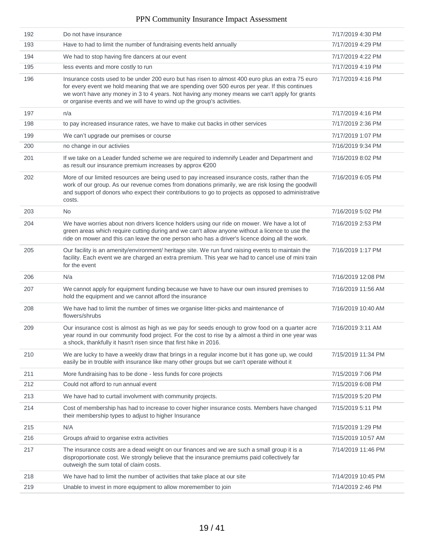| 192 | Do not have insurance                                                                                                                                                                                                                                                                                                                                                          | 7/17/2019 4:30 PM  |
|-----|--------------------------------------------------------------------------------------------------------------------------------------------------------------------------------------------------------------------------------------------------------------------------------------------------------------------------------------------------------------------------------|--------------------|
| 193 | Have to had to limit the number of fundraising events held annually                                                                                                                                                                                                                                                                                                            | 7/17/2019 4:29 PM  |
| 194 | We had to stop having fire dancers at our event                                                                                                                                                                                                                                                                                                                                | 7/17/2019 4:22 PM  |
| 195 | less events and more costly to run                                                                                                                                                                                                                                                                                                                                             | 7/17/2019 4:19 PM  |
| 196 | Insurance costs used to be under 200 euro but has risen to almost 400 euro plus an extra 75 euro<br>for every event we hold meaning that we are spending over 500 euros per year. If this continues<br>we won't have any money in 3 to 4 years. Not having any money means we can't apply for grants<br>or organise events and we will have to wind up the group's activities. | 7/17/2019 4:16 PM  |
| 197 | n/a                                                                                                                                                                                                                                                                                                                                                                            | 7/17/2019 4:16 PM  |
| 198 | to pay increased insurance rates, we have to make cut backs in other services                                                                                                                                                                                                                                                                                                  | 7/17/2019 2:36 PM  |
| 199 | We can't upgrade our premises or course                                                                                                                                                                                                                                                                                                                                        | 7/17/2019 1:07 PM  |
| 200 | no change in our activiies                                                                                                                                                                                                                                                                                                                                                     | 7/16/2019 9:34 PM  |
| 201 | If we take on a Leader funded scheme we are required to indemnify Leader and Department and<br>as result our insurance premium increases by approx €200                                                                                                                                                                                                                        | 7/16/2019 8:02 PM  |
| 202 | More of our limited resources are being used to pay increased insurance costs, rather than the<br>work of our group. As our revenue comes from donations primarily, we are risk losing the goodwill<br>and support of donors who expect their contributions to go to projects as opposed to administrative<br>costs.                                                           | 7/16/2019 6:05 PM  |
| 203 | No.                                                                                                                                                                                                                                                                                                                                                                            | 7/16/2019 5:02 PM  |
| 204 | We have worries about non drivers licence holders using our ride on mower. We have a lot of<br>green areas which require cutting during and we can't allow anyone without a licence to use the<br>ride on mower and this can leave the one person who has a driver's licence doing all the work.                                                                               | 7/16/2019 2:53 PM  |
| 205 | Our facility is an amenity/environment/ heritage site. We run fund raising events to maintain the<br>facility. Each event we are charged an extra premium. This year we had to cancel use of mini train<br>for the event                                                                                                                                                       | 7/16/2019 1:17 PM  |
| 206 | N/a                                                                                                                                                                                                                                                                                                                                                                            | 7/16/2019 12:08 PM |
| 207 | We cannot apply for equipment funding because we have to have our own insured premises to<br>hold the equipment and we cannot afford the insurance                                                                                                                                                                                                                             | 7/16/2019 11:56 AM |
| 208 | We have had to limit the number of times we organise litter-picks and maintenance of<br>flowers/shrubs                                                                                                                                                                                                                                                                         | 7/16/2019 10:40 AM |
| 209 | Our insurance cost is almost as high as we pay for seeds enough to grow food on a quarter acre<br>year round in our community food project. For the cost to rise by a almost a third in one year was<br>a shock, thankfully it hasn't risen since that first hike in 2016.                                                                                                     | 7/16/2019 3:11 AM  |
| 210 | We are lucky to have a weekly draw that brings in a regular income but it has gone up, we could<br>easily be in trouble with insurance like many other groups but we can't operate without it                                                                                                                                                                                  | 7/15/2019 11:34 PM |
| 211 | More fundraising has to be done - less funds for core projects                                                                                                                                                                                                                                                                                                                 | 7/15/2019 7:06 PM  |
| 212 | Could not afford to run annual event                                                                                                                                                                                                                                                                                                                                           | 7/15/2019 6:08 PM  |
| 213 | We have had to curtail involvment with community projects.                                                                                                                                                                                                                                                                                                                     | 7/15/2019 5:20 PM  |
| 214 | Cost of membership has had to increase to cover higher insurance costs. Members have changed<br>their membership types to adjust to higher Insurance                                                                                                                                                                                                                           | 7/15/2019 5:11 PM  |
| 215 | N/A                                                                                                                                                                                                                                                                                                                                                                            | 7/15/2019 1:29 PM  |
| 216 | Groups afraid to organise extra activities                                                                                                                                                                                                                                                                                                                                     | 7/15/2019 10:57 AM |
| 217 | The insurance costs are a dead weight on our finances and we are such a small group it is a<br>disproportionate cost. We strongly believe that the insurance premiums paid collectively far<br>outweigh the sum total of claim costs.                                                                                                                                          | 7/14/2019 11:46 PM |
| 218 | We have had to limit the number of activities that take place at our site                                                                                                                                                                                                                                                                                                      | 7/14/2019 10:45 PM |
| 219 | Unable to invest in more equipment to allow moremember to join                                                                                                                                                                                                                                                                                                                 | 7/14/2019 2:46 PM  |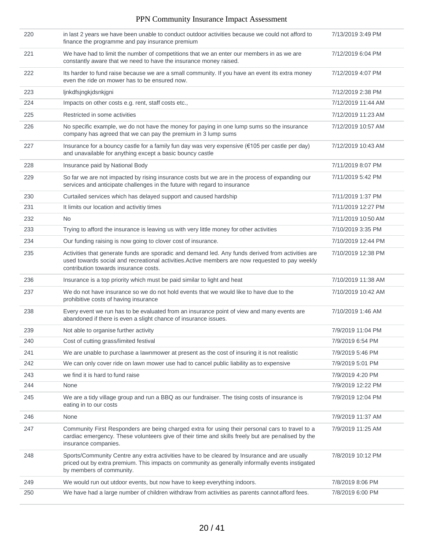| 220 | in last 2 years we have been unable to conduct outdoor activities because we could not afford to<br>finance the programme and pay insurance premium                                                                                           | 7/13/2019 3:49 PM  |
|-----|-----------------------------------------------------------------------------------------------------------------------------------------------------------------------------------------------------------------------------------------------|--------------------|
| 221 | We have had to limit the number of competitions that we an enter our members in as we are<br>constantly aware that we need to have the insurance money raised.                                                                                | 7/12/2019 6:04 PM  |
| 222 | Its harder to fund raise because we are a small community. If you have an event its extra money<br>even the ride on mower has to be ensured now.                                                                                              | 7/12/2019 4:07 PM  |
| 223 | ljnkdfsjngkjdsnkjgni                                                                                                                                                                                                                          | 7/12/2019 2:38 PM  |
| 224 | Impacts on other costs e.g. rent, staff costs etc.,                                                                                                                                                                                           | 7/12/2019 11:44 AM |
| 225 | Restricted in some activities                                                                                                                                                                                                                 | 7/12/2019 11:23 AM |
| 226 | No specific example, we do not have the money for paying in one lump sums so the insurance<br>company has agreed that we can pay the premium in 3 lump sums                                                                                   | 7/12/2019 10:57 AM |
| 227 | Insurance for a bouncy castle for a family fun day was very expensive (€105 per castle per day)<br>and unavailable for anything except a basic bouncy castle                                                                                  | 7/12/2019 10:43 AM |
| 228 | Insurance paid by National Body                                                                                                                                                                                                               | 7/11/2019 8:07 PM  |
| 229 | So far we are not impacted by rising insurance costs but we are in the process of expanding our<br>services and anticipate challenges in the future with regard to insurance                                                                  | 7/11/2019 5:42 PM  |
| 230 | Curtailed services which has delayed support and caused hardship                                                                                                                                                                              | 7/11/2019 1:37 PM  |
| 231 | It limits our location and activitiy times                                                                                                                                                                                                    | 7/11/2019 12:27 PM |
| 232 | No.                                                                                                                                                                                                                                           | 7/11/2019 10:50 AM |
| 233 | Trying to afford the insurance is leaving us with very little money for other activities                                                                                                                                                      | 7/10/2019 3:35 PM  |
| 234 | Our funding raising is now going to clover cost of insurance.                                                                                                                                                                                 | 7/10/2019 12:44 PM |
| 235 | Activities that generate funds are sporadic and demand led. Any funds derived from activities are<br>used towards social and recreational activities. Active members are now requested to pay weekly<br>contribution towards insurance costs. | 7/10/2019 12:38 PM |
| 236 | Insurance is a top priority which must be paid similar to light and heat                                                                                                                                                                      | 7/10/2019 11:38 AM |
| 237 | We do not have insurance so we do not hold events that we would like to have due to the<br>prohibitive costs of having insurance                                                                                                              | 7/10/2019 10:42 AM |
| 238 | Every event we run has to be evaluated from an insurance point of view and many events are<br>abandoned if there is even a slight chance of insurance issues.                                                                                 | 7/10/2019 1:46 AM  |
| 239 | Not able to organise further activity                                                                                                                                                                                                         | 7/9/2019 11:04 PM  |
| 240 | Cost of cutting grass/limited festival                                                                                                                                                                                                        | 7/9/2019 6:54 PM   |
| 241 | We are unable to purchase a lawnmower at present as the cost of insuring it is not realistic                                                                                                                                                  | 7/9/2019 5:46 PM   |
| 242 | We can only cover ride on lawn mower use had to cancel public liability as to expensive                                                                                                                                                       | 7/9/2019 5:01 PM   |
| 243 | we find it is hard to fund raise                                                                                                                                                                                                              | 7/9/2019 4:20 PM   |
| 244 | None                                                                                                                                                                                                                                          | 7/9/2019 12:22 PM  |
| 245 | We are a tidy village group and run a BBQ as our fundraiser. The tising costs of insurance is<br>eating in to our costs                                                                                                                       | 7/9/2019 12:04 PM  |
| 246 | None                                                                                                                                                                                                                                          | 7/9/2019 11:37 AM  |
| 247 | Community First Responders are being charged extra for using their personal cars to travel to a<br>cardiac emergency. These volunteers give of their time and skills freely but are penalised by the<br>insurance companies.                  | 7/9/2019 11:25 AM  |
| 248 | Sports/Community Centre any extra activities have to be cleared by Insurance and are usually<br>priced out by extra premium. This impacts on community as generally informally events instigated<br>by members of community.                  | 7/8/2019 10:12 PM  |
| 249 | We would run out utdoor events, but now have to keep everything indoors.                                                                                                                                                                      | 7/8/2019 8:06 PM   |
| 250 | We have had a large number of children withdraw from activities as parents cannot afford fees.                                                                                                                                                | 7/8/2019 6:00 PM   |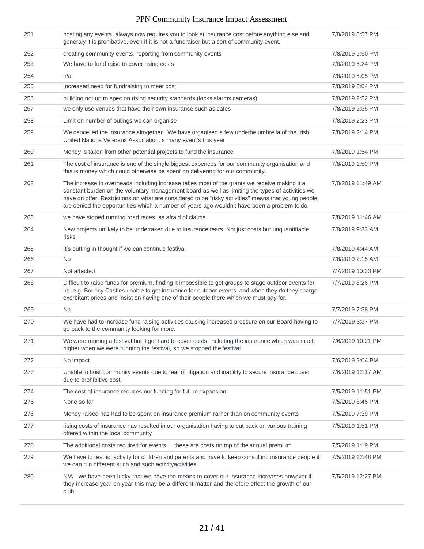| 251 | hosting any events, always now requires you to look at insurance cost before anything else and<br>generaly it is prohibative, even if it is not a fundraiser but a sort of community event.                                                                                                                                                                                                             | 7/8/2019 5:57 PM  |
|-----|---------------------------------------------------------------------------------------------------------------------------------------------------------------------------------------------------------------------------------------------------------------------------------------------------------------------------------------------------------------------------------------------------------|-------------------|
| 252 | creating community events, reporting from community events                                                                                                                                                                                                                                                                                                                                              | 7/8/2019 5:50 PM  |
| 253 | We have to fund raise to cover rising costs                                                                                                                                                                                                                                                                                                                                                             | 7/8/2019 5:24 PM  |
| 254 | n/a                                                                                                                                                                                                                                                                                                                                                                                                     | 7/8/2019 5:05 PM  |
| 255 | Increased need for fundraising to meet cost                                                                                                                                                                                                                                                                                                                                                             | 7/8/2019 5:04 PM  |
| 256 | building not up to spec on rising security standards (locks alarms cameras)                                                                                                                                                                                                                                                                                                                             | 7/8/2019 2:52 PM  |
| 257 | we only use venues that have their own insurance such as cafes                                                                                                                                                                                                                                                                                                                                          | 7/8/2019 2:35 PM  |
| 258 | Limit on number of outings we can organise                                                                                                                                                                                                                                                                                                                                                              | 7/8/2019 2:23 PM  |
| 259 | We cancelled the insurance altogether . We have organised a few undethe umbrella of the Irish<br>United Nations Veterans Association. s many event's this year                                                                                                                                                                                                                                          | 7/8/2019 2:14 PM  |
| 260 | Money is taken from other potential projects to fund the insurance                                                                                                                                                                                                                                                                                                                                      | 7/8/2019 1:54 PM  |
| 261 | The cost of insurance is one of the single biggest expences for our community organisation and<br>this is money which could otherwise be spent on delivering for our community.                                                                                                                                                                                                                         | 7/8/2019 1:50 PM  |
| 262 | The increase in overheads including increase takes most of the grants we receive making it a<br>constant burden on the voluntary management board as well as limiting the types of activities we<br>have on offer. Restrictions on what are considered to be "risky activities" means that young people<br>are denied the opportunities which a number of years ago wouldn't have been a problem to do. | 7/8/2019 11:49 AM |
| 263 | we have stoped running road races, as a fraid of claims                                                                                                                                                                                                                                                                                                                                                 | 7/8/2019 11:46 AM |
| 264 | New projects unlikely to be undertaken due to insurance fears. Not just costs but unquantifiable<br>risks.                                                                                                                                                                                                                                                                                              | 7/8/2019 9:33 AM  |
| 265 | It's putting in thought if we can continue festival                                                                                                                                                                                                                                                                                                                                                     | 7/8/2019 4:44 AM  |
| 266 | <b>No</b>                                                                                                                                                                                                                                                                                                                                                                                               | 7/8/2019 2:15 AM  |
| 267 | Not affected                                                                                                                                                                                                                                                                                                                                                                                            | 7/7/2019 10:33 PM |
| 268 | Difficult to raise funds for premium, finding it impossible to get groups to stage outdoor events for<br>us. e.g. Bouncy Castles unable to get insurance for outdoor events, and when they do they charge<br>exorbitant prices and insist on having one of their people there which we must pay for.                                                                                                    | 7/7/2019 8:26 PM  |
| 269 | Na                                                                                                                                                                                                                                                                                                                                                                                                      | 7/7/2019 7:38 PM  |
| 270 | We have had to increase fund raising activities causing increased pressure on our Board having to<br>go back to the community looking for more.                                                                                                                                                                                                                                                         | 7/7/2019 3:37 PM  |
| 271 | We were running a festival but it got hard to cover costs, including the insurance which was much<br>higher when we were running the festival, so we stopped the festival                                                                                                                                                                                                                               | 7/6/2019 10:21 PM |
| 272 | No impact                                                                                                                                                                                                                                                                                                                                                                                               | 7/6/2019 2:04 PM  |
| 273 | Unable to host community events due to fear of litigation and inability to secure insurance cover<br>due to prohibitive cost                                                                                                                                                                                                                                                                            | 7/6/2019 12:17 AM |
| 274 | The cost of insurance reduces our funding for future expansion                                                                                                                                                                                                                                                                                                                                          | 7/5/2019 11:51 PM |
| 275 | None so far                                                                                                                                                                                                                                                                                                                                                                                             | 7/5/2019 8:45 PM  |
| 276 | Money raised has had to be spent on insurance premium rarher than on community events                                                                                                                                                                                                                                                                                                                   | 7/5/2019 7:39 PM  |
| 277 | rising costs of insurance has resulted in our organisation having to cut back on various training<br>offered within the local community                                                                                                                                                                                                                                                                 | 7/5/2019 1:51 PM  |
| 278 | The additional costs required for events  these are costs on top of the annual premium                                                                                                                                                                                                                                                                                                                  | 7/5/2019 1:19 PM  |
| 279 | We have to restrict activity for children and parents and have to keep consulting insurance people if<br>we can run different such and such activity activities                                                                                                                                                                                                                                         | 7/5/2019 12:48 PM |
| 280 | N/A - we have been lucky that we have the means to cover our insurance increases however if<br>they increase year on year this may be a different matter and therefore effect the growth of our<br>club                                                                                                                                                                                                 | 7/5/2019 12:27 PM |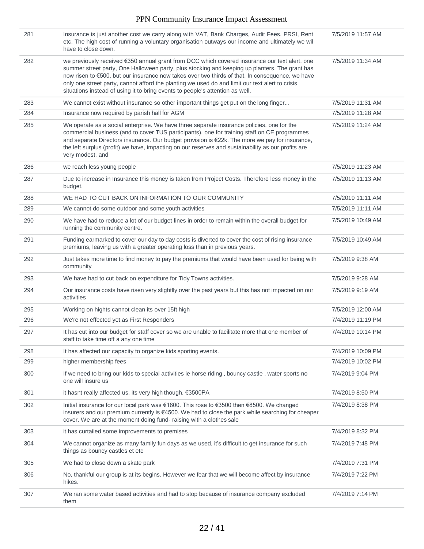| 281 | Insurance is just another cost we carry along with VAT, Bank Charges, Audit Fees, PRSI, Rent<br>etc. The high cost of running a voluntary organisation outways our income and ultimately we wil<br>have to close down.                                                                                                                                                                                                                                                                 | 7/5/2019 11:57 AM |
|-----|----------------------------------------------------------------------------------------------------------------------------------------------------------------------------------------------------------------------------------------------------------------------------------------------------------------------------------------------------------------------------------------------------------------------------------------------------------------------------------------|-------------------|
| 282 | we previously received €350 annual grant from DCC which covered insurance our text alert, one<br>summer street party, One Halloween party, plus stocking and keeping up planters. The grant has<br>now risen to €500, but our insurance now takes over two thirds of that. In consequence, we have<br>only one street party, cannot afford the planting we used do and limit our text alert to crisis<br>situations instead of using it to bring events to people's attention as well. | 7/5/2019 11:34 AM |
| 283 | We cannot exist without insurance so other important things get put on the long finger                                                                                                                                                                                                                                                                                                                                                                                                 | 7/5/2019 11:31 AM |
| 284 | Insurance now required by parish hall for AGM                                                                                                                                                                                                                                                                                                                                                                                                                                          | 7/5/2019 11:28 AM |
| 285 | We operate as a social enterprise. We have three separate insurance policies, one for the<br>commercial business (and to cover TUS participants), one for training staff on CE programmes<br>and separate Directors insurance. Our budget provision is €22k. The more we pay for insurance,<br>the left surplus (profit) we have, impacting on our reserves and sustainability as our profits are<br>very modest. and                                                                  | 7/5/2019 11:24 AM |
| 286 | we reach less young people                                                                                                                                                                                                                                                                                                                                                                                                                                                             | 7/5/2019 11:23 AM |
| 287 | Due to increase in Insurance this money is taken from Project Costs. Therefore less money in the<br>budget.                                                                                                                                                                                                                                                                                                                                                                            | 7/5/2019 11:13 AM |
| 288 | WE HAD TO CUT BACK ON INFORMATION TO OUR COMMUNITY                                                                                                                                                                                                                                                                                                                                                                                                                                     | 7/5/2019 11:11 AM |
| 289 | We cannot do some outdoor and some youth activities                                                                                                                                                                                                                                                                                                                                                                                                                                    | 7/5/2019 11:11 AM |
| 290 | We have had to reduce a lot of our budget lines in order to remain within the overall budget for<br>running the community centre.                                                                                                                                                                                                                                                                                                                                                      | 7/5/2019 10:49 AM |
| 291 | Funding earmarked to cover our day to day costs is diverted to cover the cost of rising insurance<br>premiums, leaving us with a greater operating loss than in previous years.                                                                                                                                                                                                                                                                                                        | 7/5/2019 10:49 AM |
| 292 | Just takes more time to find money to pay the premiums that would have been used for being with<br>community                                                                                                                                                                                                                                                                                                                                                                           | 7/5/2019 9:38 AM  |
| 293 | We have had to cut back on expenditure for Tidy Towns activities.                                                                                                                                                                                                                                                                                                                                                                                                                      | 7/5/2019 9:28 AM  |
| 294 | Our insurance costs have risen very slightlly over the past years but this has not impacted on our<br>activities                                                                                                                                                                                                                                                                                                                                                                       | 7/5/2019 9:19 AM  |
| 295 | Working on hights cannot clean its over 15ft high                                                                                                                                                                                                                                                                                                                                                                                                                                      | 7/5/2019 12:00 AM |
| 296 | We're not effected yet, as First Responders                                                                                                                                                                                                                                                                                                                                                                                                                                            | 7/4/2019 11:19 PM |
| 297 | It has cut into our budget for staff cover so we are unable to facilitate more that one member of<br>staff to take time off a any one time                                                                                                                                                                                                                                                                                                                                             | 7/4/2019 10:14 PM |
| 298 | It has affected our capacity to organize kids sporting events.                                                                                                                                                                                                                                                                                                                                                                                                                         | 7/4/2019 10:09 PM |
| 299 | higher membership fees                                                                                                                                                                                                                                                                                                                                                                                                                                                                 | 7/4/2019 10:02 PM |
| 300 | If we need to bring our kids to special activities ie horse riding, bouncy castle, water sports no<br>one will insure us                                                                                                                                                                                                                                                                                                                                                               | 7/4/2019 9:04 PM  |
| 301 | it hasnt really affected us. its very high though. €3500PA                                                                                                                                                                                                                                                                                                                                                                                                                             | 7/4/2019 8:50 PM  |
| 302 | Initial insurance for our local park was €1800. This rose to €3500 then €8500. We changed<br>insurers and our premium currently is €4500. We had to close the park while searching for cheaper<br>cover. We are at the moment doing fund-raising with a clothes sale                                                                                                                                                                                                                   | 7/4/2019 8:38 PM  |
| 303 | it has curtailed some improvements to premises                                                                                                                                                                                                                                                                                                                                                                                                                                         | 7/4/2019 8:32 PM  |
| 304 | We cannot organize as many family fun days as we used, it's difficult to get insurance for such<br>things as bouncy castles et etc                                                                                                                                                                                                                                                                                                                                                     | 7/4/2019 7:48 PM  |
| 305 | We had to close down a skate park                                                                                                                                                                                                                                                                                                                                                                                                                                                      | 7/4/2019 7:31 PM  |
| 306 | No, thankful our group is at its begins. However we fear that we will become affect by insurance<br>hikes.                                                                                                                                                                                                                                                                                                                                                                             | 7/4/2019 7:22 PM  |
| 307 | We ran some water based activities and had to stop because of insurance company excluded<br>them                                                                                                                                                                                                                                                                                                                                                                                       | 7/4/2019 7:14 PM  |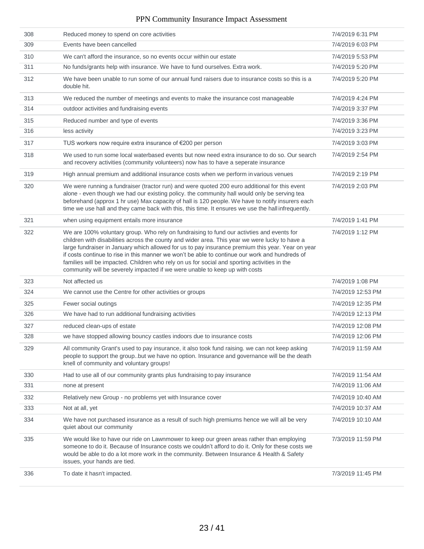| 308 | Reduced money to spend on core activities                                                                                                                                                                                                                                                                                                                                                                                                                                                                                                                                         | 7/4/2019 6:31 PM  |
|-----|-----------------------------------------------------------------------------------------------------------------------------------------------------------------------------------------------------------------------------------------------------------------------------------------------------------------------------------------------------------------------------------------------------------------------------------------------------------------------------------------------------------------------------------------------------------------------------------|-------------------|
| 309 | Events have been cancelled                                                                                                                                                                                                                                                                                                                                                                                                                                                                                                                                                        | 7/4/2019 6:03 PM  |
| 310 | We can't afford the insurance, so no events occur within our estate                                                                                                                                                                                                                                                                                                                                                                                                                                                                                                               | 7/4/2019 5:53 PM  |
| 311 | No funds/grants help with insurance. We have to fund ourselves. Extra work.                                                                                                                                                                                                                                                                                                                                                                                                                                                                                                       | 7/4/2019 5:20 PM  |
| 312 | We have been unable to run some of our annual fund raisers due to insurance costs so this is a<br>double hit.                                                                                                                                                                                                                                                                                                                                                                                                                                                                     | 7/4/2019 5:20 PM  |
| 313 | We reduced the number of meetings and events to make the insurance cost manageable                                                                                                                                                                                                                                                                                                                                                                                                                                                                                                | 7/4/2019 4:24 PM  |
| 314 | outdoor activities and fundraising events                                                                                                                                                                                                                                                                                                                                                                                                                                                                                                                                         | 7/4/2019 3:37 PM  |
| 315 | Reduced number and type of events                                                                                                                                                                                                                                                                                                                                                                                                                                                                                                                                                 | 7/4/2019 3:36 PM  |
| 316 | less activity                                                                                                                                                                                                                                                                                                                                                                                                                                                                                                                                                                     | 7/4/2019 3:23 PM  |
| 317 | TUS workers now require extra insurance of €200 per person                                                                                                                                                                                                                                                                                                                                                                                                                                                                                                                        | 7/4/2019 3:03 PM  |
| 318 | We used to run some local waterbased events but now need extra insurance to do so. Our search<br>and recovery activities (community volunteers) now has to have a seperate insurance                                                                                                                                                                                                                                                                                                                                                                                              | 7/4/2019 2:54 PM  |
| 319 | High annual premium and additional insurance costs when we perform in various venues                                                                                                                                                                                                                                                                                                                                                                                                                                                                                              | 7/4/2019 2:19 PM  |
| 320 | We were running a fundraiser (tractor run) and were quoted 200 euro additional for this event<br>alone - even though we had our existing policy. the community hall would only be serving tea<br>beforehand (approx 1 hr use) Max capacity of hall is 120 people. We have to notify insurers each<br>time we use hall and they came back with this, this time. It ensures we use the hall infrequently.                                                                                                                                                                           | 7/4/2019 2:03 PM  |
| 321 | when using equipment entails more insurance                                                                                                                                                                                                                                                                                                                                                                                                                                                                                                                                       | 7/4/2019 1:41 PM  |
| 322 | We are 100% voluntary group. Who rely on fundraising to fund our activties and events for<br>children with disabilities across the county and wider area. This year we were lucky to have a<br>large fundraiser in January which allowed for us to pay insurance premium this year. Year on year<br>if costs continue to rise in this manner we won't be able to continue our work and hundreds of<br>families will be impacted. Children who rely on us for social and sporting activities in the<br>community will be severely impacted if we were unable to keep up with costs | 7/4/2019 1:12 PM  |
| 323 | Not affected us                                                                                                                                                                                                                                                                                                                                                                                                                                                                                                                                                                   | 7/4/2019 1:08 PM  |
| 324 | We cannot use the Centre for other activities or groups                                                                                                                                                                                                                                                                                                                                                                                                                                                                                                                           | 7/4/2019 12:53 PM |
| 325 | Fewer social outings                                                                                                                                                                                                                                                                                                                                                                                                                                                                                                                                                              | 7/4/2019 12:35 PM |
| 326 | We have had to run additional fundraising activities                                                                                                                                                                                                                                                                                                                                                                                                                                                                                                                              | 7/4/2019 12:13 PM |
| 327 | reduced clean-ups of estate                                                                                                                                                                                                                                                                                                                                                                                                                                                                                                                                                       | 7/4/2019 12:08 PM |
| 328 | we have stopped allowing bouncy castles indoors due to insurance costs                                                                                                                                                                                                                                                                                                                                                                                                                                                                                                            | 7/4/2019 12:06 PM |
| 329 | All community Grant's used to pay insurance, it also took fund raising. we can not keep asking<br>people to support the group. but we have no option. Insurance and governance will be the death<br>knell of community and voluntary groups!                                                                                                                                                                                                                                                                                                                                      | 7/4/2019 11:59 AM |
| 330 | Had to use all of our community grants plus fundraising to pay insurance                                                                                                                                                                                                                                                                                                                                                                                                                                                                                                          | 7/4/2019 11:54 AM |
| 331 | none at present                                                                                                                                                                                                                                                                                                                                                                                                                                                                                                                                                                   | 7/4/2019 11:06 AM |
| 332 | Relatively new Group - no problems yet with Insurance cover                                                                                                                                                                                                                                                                                                                                                                                                                                                                                                                       | 7/4/2019 10:40 AM |
| 333 | Not at all, yet                                                                                                                                                                                                                                                                                                                                                                                                                                                                                                                                                                   | 7/4/2019 10:37 AM |
| 334 | We have not purchased insurance as a result of such high premiums hence we will all be very<br>quiet about our community                                                                                                                                                                                                                                                                                                                                                                                                                                                          | 7/4/2019 10:10 AM |
| 335 | We would like to have our ride on Lawnmower to keep our green areas rather than employing<br>someone to do it. Because of Insurance costs we couldn't afford to do it. Only for these costs we<br>would be able to do a lot more work in the community. Between Insurance & Health & Safety<br>issues, your hands are tied.                                                                                                                                                                                                                                                       | 7/3/2019 11:59 PM |
|     |                                                                                                                                                                                                                                                                                                                                                                                                                                                                                                                                                                                   |                   |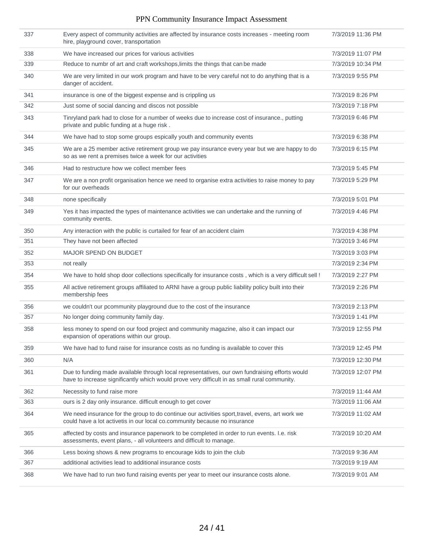| 337 | Every aspect of community activities are affected by insurance costs increases - meeting room<br>hire, playground cover, transportation                                                        | 7/3/2019 11:36 PM |
|-----|------------------------------------------------------------------------------------------------------------------------------------------------------------------------------------------------|-------------------|
| 338 | We have increased our prices for various activities                                                                                                                                            | 7/3/2019 11:07 PM |
| 339 | Reduce to numbr of art and craft workshops, limits the things that can be made                                                                                                                 | 7/3/2019 10:34 PM |
| 340 | We are very limited in our work program and have to be very careful not to do anything that is a<br>danger of accident.                                                                        | 7/3/2019 9:55 PM  |
| 341 | insurance is one of the biggest expense and is crippling us                                                                                                                                    | 7/3/2019 8:26 PM  |
| 342 | Just some of social dancing and discos not possible                                                                                                                                            | 7/3/2019 7:18 PM  |
| 343 | Tinryland park had to close for a number of weeks due to increase cost of insurance., putting<br>private and public funding at a huge risk.                                                    | 7/3/2019 6:46 PM  |
| 344 | We have had to stop some groups espically youth and community events                                                                                                                           | 7/3/2019 6:38 PM  |
| 345 | We are a 25 member active retirement group we pay insurance every year but we are happy to do<br>so as we rent a premises twice a week for our activities                                      | 7/3/2019 6:15 PM  |
| 346 | Had to restructure how we collect member fees                                                                                                                                                  | 7/3/2019 5:45 PM  |
| 347 | We are a non profit organisation hence we need to organise extra activities to raise money to pay<br>for our overheads                                                                         | 7/3/2019 5:29 PM  |
| 348 | none specifically                                                                                                                                                                              | 7/3/2019 5:01 PM  |
| 349 | Yes it has impacted the types of maintenance activities we can undertake and the running of<br>community events.                                                                               | 7/3/2019 4:46 PM  |
| 350 | Any interaction with the public is curtailed for fear of an accident claim                                                                                                                     | 7/3/2019 4:38 PM  |
| 351 | They have not been affected                                                                                                                                                                    | 7/3/2019 3:46 PM  |
| 352 | MAJOR SPEND ON BUDGET                                                                                                                                                                          | 7/3/2019 3:03 PM  |
| 353 | not really                                                                                                                                                                                     | 7/3/2019 2:34 PM  |
| 354 | We have to hold shop door collections specifically for insurance costs, which is a very difficult sell !                                                                                       | 7/3/2019 2:27 PM  |
| 355 | All active retirement groups affiliated to ARNI have a group public liability policy built into their<br>membership fees                                                                       | 7/3/2019 2:26 PM  |
| 356 | we couldn't our pcommunity playground due to the cost of the insurance                                                                                                                         | 7/3/2019 2:13 PM  |
| 357 | No longer doing community family day.                                                                                                                                                          | 7/3/2019 1:41 PM  |
| 358 | less money to spend on our food project and community magazine, also it can impact our<br>expansion of operations within our group.                                                            | 7/3/2019 12:55 PM |
| 359 | We have had to fund raise for insurance costs as no funding is available to cover this                                                                                                         | 7/3/2019 12:45 PM |
| 360 | N/A                                                                                                                                                                                            | 7/3/2019 12:30 PM |
| 361 | Due to funding made available through local representatives, our own fundraising efforts would<br>have to increase significantly which would prove very difficult in as small rural community. | 7/3/2019 12:07 PM |
| 362 | Necessity to fund raise more                                                                                                                                                                   | 7/3/2019 11:44 AM |
| 363 | ours is 2 day only insurance. difficult enough to get cover                                                                                                                                    | 7/3/2019 11:06 AM |
| 364 | We need insurance for the group to do continue our activities sport, travel, evens, art work we<br>could have a lot activetis in our local co.community because no insurance                   | 7/3/2019 11:02 AM |
| 365 | affected by costs and insurance paperwork to be completed in order to run events. I.e. risk<br>assessments, event plans, - all volunteers and difficult to manage.                             | 7/3/2019 10:20 AM |
| 366 | Less boxing shows & new programs to encourage kids to join the club                                                                                                                            | 7/3/2019 9:36 AM  |
| 367 | additional activities lead to additional insurance costs                                                                                                                                       | 7/3/2019 9:19 AM  |
| 368 | We have had to run two fund raising events per year to meet our insurance costs alone.                                                                                                         | 7/3/2019 9:01 AM  |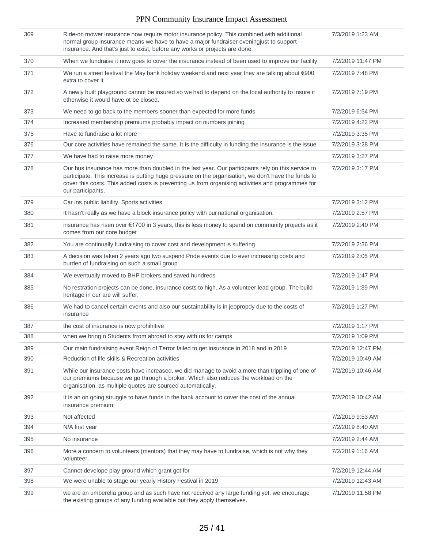| 369 | Ride-on mower insurance now require motor insurance policy. This combined with additional<br>normal group insurance means we have to have a major fundraiser eveningjust to support<br>insurance. And that's just to exist, before any works or projects are done.                                                                  | 7/3/2019 1:23 AM  |
|-----|-------------------------------------------------------------------------------------------------------------------------------------------------------------------------------------------------------------------------------------------------------------------------------------------------------------------------------------|-------------------|
| 370 | When we fundraise it now goes to cover the insurance instead of been used to improve our facility                                                                                                                                                                                                                                   | 7/2/2019 11:47 PM |
| 371 | We run a street festival the May bank holiday weekend and next year they are talking about €900<br>extra to cover it                                                                                                                                                                                                                | 7/2/2019 7:48 PM  |
| 372 | A newly built playground cannot be insured so we had to depend on the local authority to insure it<br>otherwise it would have ot be closed.                                                                                                                                                                                         | 7/2/2019 7:19 PM  |
| 373 | We need to go back to the members sooner than expected for more funds                                                                                                                                                                                                                                                               | 7/2/2019 6:54 PM  |
| 374 | Increased membership premiums probably impact on numbers joining                                                                                                                                                                                                                                                                    | 7/2/2019 4:22 PM  |
| 375 | Have to fundraise a lot more                                                                                                                                                                                                                                                                                                        | 7/2/2019 3:35 PM  |
| 376 | Our core activities have remained the same. It is the difficulty in funding the insurance is the issue                                                                                                                                                                                                                              | 7/2/2019 3:28 PM  |
| 377 | We have had to raise more money                                                                                                                                                                                                                                                                                                     | 7/2/2019 3:27 PM  |
| 378 | Our bus insurance has more than doubled in the last year. Our participants rely on this service to<br>participate. This increase is putting huge pressure on the organisation, we don't have the funds to<br>cover this costs. This added costs is preventing us from organising activities and programmes for<br>our participants. | 7/2/2019 3:17 PM  |
| 379 | Car ins.public liability. Sports activities                                                                                                                                                                                                                                                                                         | 7/2/2019 3:12 PM  |
| 380 | It hasn't really as we have a block insurance policy with our national organisation.                                                                                                                                                                                                                                                | 7/2/2019 2:57 PM  |
| 381 | insurance has risen over €1700 in 3 years, this is less money to spend on community projects as it<br>comes from our core budget                                                                                                                                                                                                    | 7/2/2019 2:40 PM  |
| 382 | You are continually fundraising to cover cost and development is suffering                                                                                                                                                                                                                                                          | 7/2/2019 2:36 PM  |
| 383 | A decision was taken 2 years ago two suspend Pride events due to ever increasing costs and<br>burden of fundraising on such a small group                                                                                                                                                                                           | 7/2/2019 2:05 PM  |
| 384 | We eventually moved to BHP brokers and saved hundreds                                                                                                                                                                                                                                                                               | 7/2/2019 1:47 PM  |
| 385 | No restration projects can be done, insurance costs to high. As a volunteer lead group. The build<br>heritage in our are will suffer.                                                                                                                                                                                               | 7/2/2019 1:39 PM  |
| 386 | We had to cancel certain events and also our sustainability is in jeopropdy due to the costs of<br>insurance                                                                                                                                                                                                                        | 7/2/2019 1:27 PM  |
| 387 | the cost of insurance is now prohihitive                                                                                                                                                                                                                                                                                            | 7/2/2019 1:17 PM  |
| 388 | when we bring n Students frrom abroad to stay with us for camps                                                                                                                                                                                                                                                                     | 7/2/2019 1:09 PM  |
| 389 | Our main fundraising event Reign of Terror failed to get insurance in 2018 and in 2019                                                                                                                                                                                                                                              | 7/2/2019 12:47 PM |
| 390 | Reduction of life skills & Recreation activities                                                                                                                                                                                                                                                                                    | 7/2/2019 10:49 AM |
| 391 | While our insurance costs have increased, we did manage to avoid a more than trippling of one of<br>our premiums because we go through a broker. Which also reduces the workload on the<br>organisation, as multiple quotes are sourced automatically.                                                                              | 7/2/2019 10:46 AM |
| 392 | It is an on going struggle to have funds in the bank account to cover the cost of the annual<br>insurance premium                                                                                                                                                                                                                   | 7/2/2019 10:42 AM |
| 393 | Not affected                                                                                                                                                                                                                                                                                                                        | 7/2/2019 9:53 AM  |
| 394 | N/A first year                                                                                                                                                                                                                                                                                                                      | 7/2/2019 8:40 AM  |
| 395 | No insurance                                                                                                                                                                                                                                                                                                                        | 7/2/2019 2:44 AM  |
| 396 | More a concern to volunteers (mentors) that they may have to fundraise, which is not why they<br>volunteer.                                                                                                                                                                                                                         | 7/2/2019 1:16 AM  |
| 397 | Cannot develope play ground which grant got for                                                                                                                                                                                                                                                                                     | 7/2/2019 12:44 AM |
| 398 | We were unable to stage our yearly History Festival in 2019                                                                                                                                                                                                                                                                         | 7/2/2019 12:43 AM |
| 399 | we are an umberella group and as such have not received any large funding yet. we encourage<br>the existing groups of any funding available but they apply themselves.                                                                                                                                                              | 7/1/2019 11:58 PM |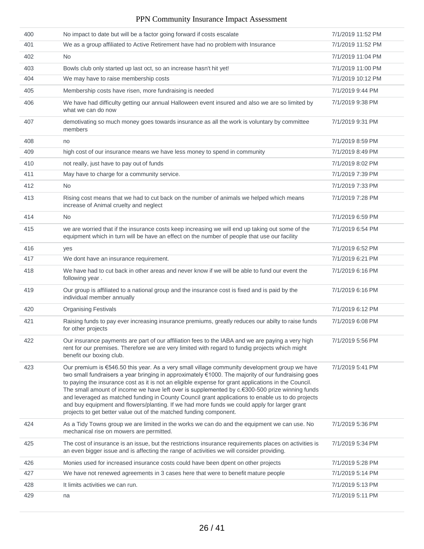| 400 | No impact to date but will be a factor going forward if costs escalate                                                                                                                                                                                                                                                                                                                                                                                                                                                                                                                                                                                                                   | 7/1/2019 11:52 PM |
|-----|------------------------------------------------------------------------------------------------------------------------------------------------------------------------------------------------------------------------------------------------------------------------------------------------------------------------------------------------------------------------------------------------------------------------------------------------------------------------------------------------------------------------------------------------------------------------------------------------------------------------------------------------------------------------------------------|-------------------|
| 401 | We as a group affiliated to Active Retirement have had no problem with Insurance                                                                                                                                                                                                                                                                                                                                                                                                                                                                                                                                                                                                         | 7/1/2019 11:52 PM |
| 402 | <b>No</b>                                                                                                                                                                                                                                                                                                                                                                                                                                                                                                                                                                                                                                                                                | 7/1/2019 11:04 PM |
| 403 | Bowls club only started up last oct, so an increase hasn't hit yet!                                                                                                                                                                                                                                                                                                                                                                                                                                                                                                                                                                                                                      | 7/1/2019 11:00 PM |
| 404 | We may have to raise membership costs                                                                                                                                                                                                                                                                                                                                                                                                                                                                                                                                                                                                                                                    | 7/1/2019 10:12 PM |
| 405 | Membership costs have risen, more fundraising is needed                                                                                                                                                                                                                                                                                                                                                                                                                                                                                                                                                                                                                                  | 7/1/2019 9:44 PM  |
| 406 | We have had difficulty getting our annual Halloween event insured and also we are so limited by<br>what we can do now                                                                                                                                                                                                                                                                                                                                                                                                                                                                                                                                                                    | 7/1/2019 9:38 PM  |
| 407 | demotivating so much money goes towards insurance as all the work is voluntary by committee<br>members                                                                                                                                                                                                                                                                                                                                                                                                                                                                                                                                                                                   | 7/1/2019 9:31 PM  |
| 408 | no                                                                                                                                                                                                                                                                                                                                                                                                                                                                                                                                                                                                                                                                                       | 7/1/2019 8:59 PM  |
| 409 | high cost of our insurance means we have less money to spend in community                                                                                                                                                                                                                                                                                                                                                                                                                                                                                                                                                                                                                | 7/1/2019 8:49 PM  |
| 410 | not really, just have to pay out of funds                                                                                                                                                                                                                                                                                                                                                                                                                                                                                                                                                                                                                                                | 7/1/2019 8:02 PM  |
| 411 | May have to charge for a community service.                                                                                                                                                                                                                                                                                                                                                                                                                                                                                                                                                                                                                                              | 7/1/2019 7:39 PM  |
| 412 | No.                                                                                                                                                                                                                                                                                                                                                                                                                                                                                                                                                                                                                                                                                      | 7/1/2019 7:33 PM  |
| 413 | Rising cost means that we had to cut back on the number of animals we helped which means<br>increase of Animal cruelty and neglect                                                                                                                                                                                                                                                                                                                                                                                                                                                                                                                                                       | 7/1/2019 7:28 PM  |
| 414 | <b>No</b>                                                                                                                                                                                                                                                                                                                                                                                                                                                                                                                                                                                                                                                                                | 7/1/2019 6:59 PM  |
| 415 | we are worried that if the insurance costs keep increasing we will end up taking out some of the<br>equipment which in turn will be have an effect on the number of people that use our facility                                                                                                                                                                                                                                                                                                                                                                                                                                                                                         | 7/1/2019 6:54 PM  |
| 416 | yes                                                                                                                                                                                                                                                                                                                                                                                                                                                                                                                                                                                                                                                                                      | 7/1/2019 6:52 PM  |
| 417 | We dont have an insurance requirement.                                                                                                                                                                                                                                                                                                                                                                                                                                                                                                                                                                                                                                                   | 7/1/2019 6:21 PM  |
| 418 | We have had to cut back in other areas and never know if we will be able to fund our event the<br>following year.                                                                                                                                                                                                                                                                                                                                                                                                                                                                                                                                                                        | 7/1/2019 6:16 PM  |
| 419 | Our group is affiliated to a national group and the insurance cost is fixed and is paid by the<br>individual member annually                                                                                                                                                                                                                                                                                                                                                                                                                                                                                                                                                             | 7/1/2019 6:16 PM  |
| 420 | <b>Organising Festivals</b>                                                                                                                                                                                                                                                                                                                                                                                                                                                                                                                                                                                                                                                              | 7/1/2019 6:12 PM  |
| 421 | Raising funds to pay ever increasing insurance premiums, greatly reduces our abilty to raise funds<br>for other projects                                                                                                                                                                                                                                                                                                                                                                                                                                                                                                                                                                 | 7/1/2019 6:08 PM  |
| 422 | Our insurance payments are part of our affiliation fees to the IABA and we are paying a very high<br>rent for our premises. Therefore we are very limited with regard to fundig projects which might<br>benefit our boxing club.                                                                                                                                                                                                                                                                                                                                                                                                                                                         | 7/1/2019 5:56 PM  |
| 423 | Our premium is €546.50 this year. As a very small village community development group we have<br>two small fundraisers a year bringing in approximately €1000. The majority of our fundraising goes<br>to paying the insurance cost as it is not an eligible expense for grant applications in the Council.<br>The small amount of income we have left over is supplemented by c.€300-500 prize winning funds<br>and leveraged as matched funding in County Council grant applications to enable us to do projects<br>and buy equipment and flowers/planting. If we had more funds we could apply for larger grant<br>projects to get better value out of the matched funding component. | 7/1/2019 5:41 PM  |
| 424 | As a Tidy Towns group we are limited in the works we can do and the equipment we can use. No                                                                                                                                                                                                                                                                                                                                                                                                                                                                                                                                                                                             | 7/1/2019 5:36 PM  |
|     | mechanical rise on mowers are permitted.                                                                                                                                                                                                                                                                                                                                                                                                                                                                                                                                                                                                                                                 |                   |
| 425 | The cost of insurance is an issue, but the restrictions insurance requirements places on activities is<br>an even bigger issue and is affecting the range of activities we will consider providing.                                                                                                                                                                                                                                                                                                                                                                                                                                                                                      | 7/1/2019 5:34 PM  |
| 426 | Monies used for increased insurance costs could have been dpent on other projects                                                                                                                                                                                                                                                                                                                                                                                                                                                                                                                                                                                                        | 7/1/2019 5:28 PM  |
| 427 | We have not renewed agreements in 3 cases here that were to benefit mature people                                                                                                                                                                                                                                                                                                                                                                                                                                                                                                                                                                                                        | 7/1/2019 5:14 PM  |
| 428 | It limits activities we can run.                                                                                                                                                                                                                                                                                                                                                                                                                                                                                                                                                                                                                                                         | 7/1/2019 5:13 PM  |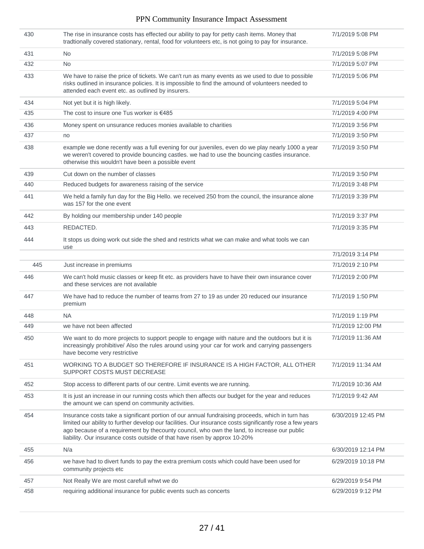| 430 | The rise in insurance costs has effected our ability to pay for petty cash items. Money that<br>tradtionally covered stationary, rental, food for volunteers etc, is not going to pay for insurance.                                                                                                                                                                                       | 7/1/2019 5:08 PM   |
|-----|--------------------------------------------------------------------------------------------------------------------------------------------------------------------------------------------------------------------------------------------------------------------------------------------------------------------------------------------------------------------------------------------|--------------------|
| 431 | <b>No</b>                                                                                                                                                                                                                                                                                                                                                                                  | 7/1/2019 5:08 PM   |
| 432 | <b>No</b>                                                                                                                                                                                                                                                                                                                                                                                  | 7/1/2019 5:07 PM   |
| 433 | We have to raise the price of tickets. We can't run as many events as we used to due to possible<br>risks outlined in insurance policies. It is impossible to find the amound of volunteers needed to<br>attended each event etc. as outlined by insurers.                                                                                                                                 | 7/1/2019 5:06 PM   |
| 434 | Not yet but it is high likely.                                                                                                                                                                                                                                                                                                                                                             | 7/1/2019 5:04 PM   |
| 435 | The cost to insure one Tus worker is $€485$                                                                                                                                                                                                                                                                                                                                                | 7/1/2019 4:00 PM   |
| 436 | Money spent on unsurance reduces monies available to charities                                                                                                                                                                                                                                                                                                                             | 7/1/2019 3:56 PM   |
| 437 | no                                                                                                                                                                                                                                                                                                                                                                                         | 7/1/2019 3:50 PM   |
| 438 | example we done recently was a full evening for our juveniles, even do we play nearly 1000 a year<br>we weren't covered to provide bouncing castles. we had to use the bouncing castles insurance.<br>otherwise this wouldn't have been a possible event                                                                                                                                   | 7/1/2019 3:50 PM   |
| 439 | Cut down on the number of classes                                                                                                                                                                                                                                                                                                                                                          | 7/1/2019 3:50 PM   |
| 440 | Reduced budgets for awareness raising of the service                                                                                                                                                                                                                                                                                                                                       | 7/1/2019 3:48 PM   |
| 441 | We held a family fun day for the Big Hello. we received 250 from the council, the insurance alone<br>was 157 for the one event                                                                                                                                                                                                                                                             | 7/1/2019 3:39 PM   |
| 442 | By holding our membership under 140 people                                                                                                                                                                                                                                                                                                                                                 | 7/1/2019 3:37 PM   |
| 443 | REDACTED.                                                                                                                                                                                                                                                                                                                                                                                  | 7/1/2019 3:35 PM   |
| 444 | It stops us doing work out side the shed and restricts what we can make and what tools we can<br>use                                                                                                                                                                                                                                                                                       |                    |
|     |                                                                                                                                                                                                                                                                                                                                                                                            | 7/1/2019 3:14 PM   |
| 445 | Just increase in premiums                                                                                                                                                                                                                                                                                                                                                                  | 7/1/2019 2:10 PM   |
| 446 | We can't hold music classes or keep fit etc. as providers have to have their own insurance cover<br>and these services are not available                                                                                                                                                                                                                                                   | 7/1/2019 2:00 PM   |
| 447 | We have had to reduce the number of teams from 27 to 19 as under 20 reduced our insurance<br>premium                                                                                                                                                                                                                                                                                       | 7/1/2019 1:50 PM   |
| 448 | <b>NA</b>                                                                                                                                                                                                                                                                                                                                                                                  | 7/1/2019 1:19 PM   |
| 449 | we have not been affected                                                                                                                                                                                                                                                                                                                                                                  | 7/1/2019 12:00 PM  |
| 450 | We want to do more projects to support people to engage with nature and the outdoors but it is<br>increasingly prohibitive/ Also the rules around using your car for work and carrying passengers<br>have become very restrictive                                                                                                                                                          | 7/1/2019 11:36 AM  |
| 451 | WORKING TO A BUDGET SO THEREFORE IF INSURANCE IS A HIGH FACTOR, ALL OTHER<br>SUPPORT COSTS MUST DECREASE                                                                                                                                                                                                                                                                                   | 7/1/2019 11:34 AM  |
| 452 | Stop access to different parts of our centre. Limit events we are running.                                                                                                                                                                                                                                                                                                                 | 7/1/2019 10:36 AM  |
| 453 | It is just an increase in our running costs which then affects our budget for the year and reduces<br>the amount we can spend on community activities.                                                                                                                                                                                                                                     | 7/1/2019 9:42 AM   |
| 454 | Insurance costs take a significant portion of our annual fundraising proceeds, which in turn has<br>limited our ability to further develop our facilities. Our insurance costs significantly rose a few years<br>ago because of a requirement by thecounty council, who own the land, to increase our public<br>liability. Our insurance costs outside of that have risen by approx 10-20% | 6/30/2019 12:45 PM |
| 455 | N/a                                                                                                                                                                                                                                                                                                                                                                                        | 6/30/2019 12:14 PM |
| 456 | we have had to divert funds to pay the extra premium costs which could have been used for<br>community projects etc                                                                                                                                                                                                                                                                        | 6/29/2019 10:18 PM |
| 457 | Not Really We are most carefull whwt we do                                                                                                                                                                                                                                                                                                                                                 | 6/29/2019 9:54 PM  |
| 458 | requiring additional insurance for public events such as concerts                                                                                                                                                                                                                                                                                                                          | 6/29/2019 9:12 PM  |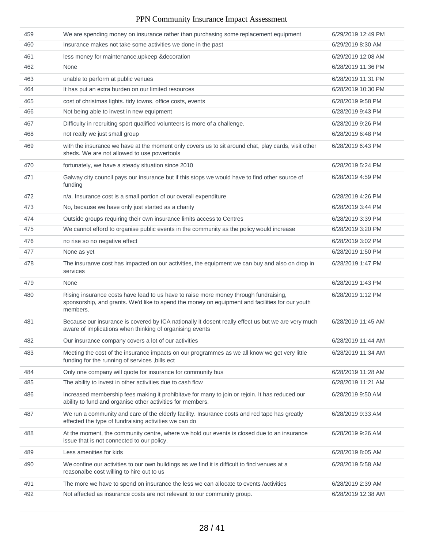| 459 | We are spending money on insurance rather than purchasing some replacement equipment                                                                                                                | 6/29/2019 12:49 PM |
|-----|-----------------------------------------------------------------------------------------------------------------------------------------------------------------------------------------------------|--------------------|
| 460 | Insurance makes not take some activities we done in the past                                                                                                                                        | 6/29/2019 8:30 AM  |
| 461 | less money for maintenance, upkeep & decoration                                                                                                                                                     | 6/29/2019 12:08 AM |
| 462 | None                                                                                                                                                                                                | 6/28/2019 11:36 PM |
| 463 | unable to perform at public venues                                                                                                                                                                  | 6/28/2019 11:31 PM |
| 464 | It has put an extra burden on our limited resources                                                                                                                                                 | 6/28/2019 10:30 PM |
| 465 | cost of christmas lights. tidy towns, office costs, events                                                                                                                                          | 6/28/2019 9:58 PM  |
| 466 | Not being able to invest in new equipment                                                                                                                                                           | 6/28/2019 9:43 PM  |
| 467 | Difficulty in recruiting sport qualified volunteers is more of a challenge.                                                                                                                         | 6/28/2019 9:26 PM  |
| 468 | not really we just small group                                                                                                                                                                      | 6/28/2019 6:48 PM  |
| 469 | with the insurance we have at the moment only covers us to sit around chat, play cards, visit other<br>sheds. We are not allowed to use powertools                                                  | 6/28/2019 6:43 PM  |
| 470 | fortunately, we have a steady situation since 2010                                                                                                                                                  | 6/28/2019 5:24 PM  |
| 471 | Galway city council pays our insurance but if this stops we would have to find other source of<br>funding                                                                                           | 6/28/2019 4:59 PM  |
| 472 | n/a. Insurance cost is a small portion of our overall expenditure                                                                                                                                   | 6/28/2019 4:26 PM  |
| 473 | No, because we have only just started as a charity                                                                                                                                                  | 6/28/2019 3:44 PM  |
| 474 | Outside groups requiring their own insurance limits access to Centres                                                                                                                               | 6/28/2019 3:39 PM  |
| 475 | We cannot efford to organise public events in the community as the policy would increase                                                                                                            | 6/28/2019 3:20 PM  |
| 476 | no rise so no negative effect                                                                                                                                                                       | 6/28/2019 3:02 PM  |
| 477 | None as yet                                                                                                                                                                                         | 6/28/2019 1:50 PM  |
| 478 | The insuranve cost has impacted on our activities, the equipment we can buy and also on drop in<br>services                                                                                         | 6/28/2019 1:47 PM  |
| 479 | None                                                                                                                                                                                                | 6/28/2019 1:43 PM  |
| 480 | Rising insurance costs have lead to us have to raise more money through fundraising,<br>sponsorship, and grants. We'd like to spend the money on equipment and facilities for our youth<br>members. | 6/28/2019 1:12 PM  |
| 481 | Because our insurance is covered by ICA nationally it dosent really effect us but we are very much<br>aware of implications when thinking of organising events                                      | 6/28/2019 11:45 AM |
| 482 | Our insurance company covers a lot of our activities                                                                                                                                                | 6/28/2019 11:44 AM |
| 483 | Meeting the cost of the insurance impacts on our programmes as we all know we get very little<br>funding for the running of services, bills ect                                                     | 6/28/2019 11:34 AM |
| 484 | Only one company will quote for insurance for community bus                                                                                                                                         | 6/28/2019 11:28 AM |
| 485 | The ability to invest in other activities due to cash flow                                                                                                                                          | 6/28/2019 11:21 AM |
| 486 | Increased membership fees making it prohibitave for many to join or rejoin. It has reduced our<br>ability to fund and organise other activities for members.                                        | 6/28/2019 9:50 AM  |
| 487 | We run a community and care of the elderly facility. Insurance costs and red tape has greatly<br>effected the type of fundraising activities we can do                                              | 6/28/2019 9:33 AM  |
| 488 | At the moment, the community centre, where we hold our events is closed due to an insurance<br>issue that is not connected to our policy.                                                           | 6/28/2019 9:26 AM  |
| 489 | Less amenities for kids                                                                                                                                                                             | 6/28/2019 8:05 AM  |
| 490 | We confine our activities to our own buildings as we find it is difficult to find venues at a<br>reasonalbe cost willing to hire out to us                                                          | 6/28/2019 5:58 AM  |
| 491 | The more we have to spend on insurance the less we can allocate to events /activities                                                                                                               | 6/28/2019 2:39 AM  |
| 492 | Not affected as insurance costs are not relevant to our community group.                                                                                                                            | 6/28/2019 12:38 AM |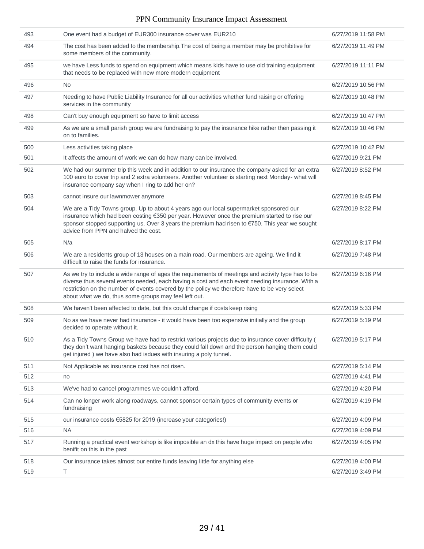| 493 | One event had a budget of EUR300 insurance cover was EUR210                                                                                                                                                                                                                                                                                                     | 6/27/2019 11:58 PM |
|-----|-----------------------------------------------------------------------------------------------------------------------------------------------------------------------------------------------------------------------------------------------------------------------------------------------------------------------------------------------------------------|--------------------|
| 494 | The cost has been added to the membership. The cost of being a member may be prohibitive for<br>some members of the community.                                                                                                                                                                                                                                  | 6/27/2019 11:49 PM |
| 495 | we have Less funds to spend on equipment which means kids have to use old training equipment<br>that needs to be replaced with new more modern equipment                                                                                                                                                                                                        | 6/27/2019 11:11 PM |
| 496 | <b>No</b>                                                                                                                                                                                                                                                                                                                                                       | 6/27/2019 10:56 PM |
| 497 | Needing to have Public Liability Insurance for all our activities whether fund raising or offering<br>services in the community                                                                                                                                                                                                                                 | 6/27/2019 10:48 PM |
| 498 | Can't buy enough equipment so have to limit access                                                                                                                                                                                                                                                                                                              | 6/27/2019 10:47 PM |
| 499 | As we are a small parish group we are fundraising to pay the insurance hike rather then passing it<br>on to families.                                                                                                                                                                                                                                           | 6/27/2019 10:46 PM |
| 500 | Less activities taking place                                                                                                                                                                                                                                                                                                                                    | 6/27/2019 10:42 PM |
| 501 | It affects the amount of work we can do how many can be involved.                                                                                                                                                                                                                                                                                               | 6/27/2019 9:21 PM  |
| 502 | We had our summer trip this week and in addition to our insurance the company asked for an extra<br>100 euro to cover trip and 2 extra volunteers. Another volunteer is starting next Monday- what will<br>insurance company say when I ring to add her on?                                                                                                     | 6/27/2019 8:52 PM  |
| 503 | cannot insure our lawnmower anymore                                                                                                                                                                                                                                                                                                                             | 6/27/2019 8:45 PM  |
| 504 | We are a Tidy Towns group. Up to about 4 years ago our local supermarket sponsored our<br>insurance which had been costing €350 per year. However once the premium started to rise our<br>sponsor stopped supporting us. Over 3 years the premium had risen to €750. This year we sought<br>advice from PPN and halved the cost.                                | 6/27/2019 8:22 PM  |
| 505 | N/a                                                                                                                                                                                                                                                                                                                                                             | 6/27/2019 8:17 PM  |
| 506 | We are a residents group of 13 houses on a main road. Our members are ageing. We find it<br>difficult to raise the funds for insurance.                                                                                                                                                                                                                         | 6/27/2019 7:48 PM  |
| 507 | As we try to include a wide range of ages the requirements of meetings and activity type has to be<br>diverse thus several events needed, each having a cost and each event needing insurance. With a<br>restriction on the number of events covered by the policy we therefore have to be very select<br>about what we do, thus some groups may feel left out. | 6/27/2019 6:16 PM  |
| 508 | We haven't been affected to date, but this could change if costs keep rising                                                                                                                                                                                                                                                                                    | 6/27/2019 5:33 PM  |
| 509 | No as we have never had insurance - it would have been too expensive initially and the group<br>decided to operate without it.                                                                                                                                                                                                                                  | 6/27/2019 5:19 PM  |
| 510 | As a Tidy Towns Group we have had to restrict various projects due to insurance cover difficulty (<br>they don't want hanging baskets because they could fall down and the person hanging them could<br>get injured) we have also had isdues with insuring a poly tunnel.                                                                                       | 6/27/2019 5:17 PM  |
| 511 | Not Applicable as insurance cost has not risen.                                                                                                                                                                                                                                                                                                                 | 6/27/2019 5:14 PM  |
| 512 | no                                                                                                                                                                                                                                                                                                                                                              | 6/27/2019 4:41 PM  |
| 513 | We've had to cancel programmes we couldn't afford.                                                                                                                                                                                                                                                                                                              | 6/27/2019 4:20 PM  |
| 514 | Can no longer work along roadways, cannot sponsor certain types of community events or<br>fundraising                                                                                                                                                                                                                                                           | 6/27/2019 4:19 PM  |
| 515 | our insurance costs €5825 for 2019 (increase your categories!)                                                                                                                                                                                                                                                                                                  | 6/27/2019 4:09 PM  |
| 516 | <b>NA</b>                                                                                                                                                                                                                                                                                                                                                       | 6/27/2019 4:09 PM  |
| 517 | Running a practical event workshop is like imposible an dx this have huge impact on people who<br>benifit on this in the past                                                                                                                                                                                                                                   | 6/27/2019 4:05 PM  |
| 518 | Our insurance takes almost our entire funds leaving little for anything else                                                                                                                                                                                                                                                                                    | 6/27/2019 4:00 PM  |
| 519 | Τ                                                                                                                                                                                                                                                                                                                                                               | 6/27/2019 3:49 PM  |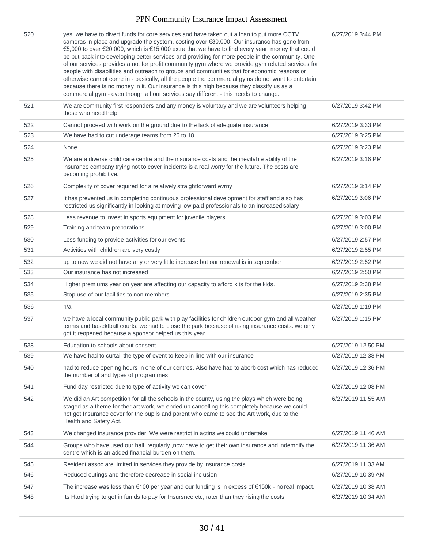| 520 | yes, we have to divert funds for core services and have taken out a loan to put more CCTV<br>cameras in place and upgrade the system, costing over €30,000. Our insurance has gone from<br>€5,000 to over €20,000, which is €15,000 extra that we have to find every year, money that could<br>be put back into developing better services and providing for more people in the community. One<br>of our services provides a not for profit community gym where we provide gym related services for<br>people with disabilities and outreach to groups and communities that for economic reasons or<br>otherwise cannot come in - basically, all the people the commercial gyms do not want to entertain,<br>because there is no money in it. Our insurance is this high because they classify us as a<br>commercial gym - even though all our services say different - this needs to change. | 6/27/2019 3:44 PM  |
|-----|-----------------------------------------------------------------------------------------------------------------------------------------------------------------------------------------------------------------------------------------------------------------------------------------------------------------------------------------------------------------------------------------------------------------------------------------------------------------------------------------------------------------------------------------------------------------------------------------------------------------------------------------------------------------------------------------------------------------------------------------------------------------------------------------------------------------------------------------------------------------------------------------------|--------------------|
| 521 | We are community first responders and any money is voluntary and we are volunteers helping<br>those who need help                                                                                                                                                                                                                                                                                                                                                                                                                                                                                                                                                                                                                                                                                                                                                                             | 6/27/2019 3:42 PM  |
| 522 | Cannot proceed with work on the ground due to the lack of adequate insurance                                                                                                                                                                                                                                                                                                                                                                                                                                                                                                                                                                                                                                                                                                                                                                                                                  | 6/27/2019 3:33 PM  |
| 523 | We have had to cut underage teams from 26 to 18                                                                                                                                                                                                                                                                                                                                                                                                                                                                                                                                                                                                                                                                                                                                                                                                                                               | 6/27/2019 3:25 PM  |
| 524 | None                                                                                                                                                                                                                                                                                                                                                                                                                                                                                                                                                                                                                                                                                                                                                                                                                                                                                          | 6/27/2019 3:23 PM  |
| 525 | We are a diverse child care centre and the insurance costs and the inevitable ability of the<br>insurance company trying not to cover incidents is a real worry for the future. The costs are<br>becoming prohibitive.                                                                                                                                                                                                                                                                                                                                                                                                                                                                                                                                                                                                                                                                        | 6/27/2019 3:16 PM  |
| 526 | Complexity of cover required for a relatively straightforward evrny                                                                                                                                                                                                                                                                                                                                                                                                                                                                                                                                                                                                                                                                                                                                                                                                                           | 6/27/2019 3:14 PM  |
| 527 | It has prevented us in completing continuous professional development for staff and also has<br>restricted us significantly in looking at moving low paid professionals to an increased salary                                                                                                                                                                                                                                                                                                                                                                                                                                                                                                                                                                                                                                                                                                | 6/27/2019 3:06 PM  |
| 528 | Less revenue to invest in sports equipment for juvenile players                                                                                                                                                                                                                                                                                                                                                                                                                                                                                                                                                                                                                                                                                                                                                                                                                               | 6/27/2019 3:03 PM  |
| 529 | Training and team preparations                                                                                                                                                                                                                                                                                                                                                                                                                                                                                                                                                                                                                                                                                                                                                                                                                                                                | 6/27/2019 3:00 PM  |
| 530 | Less funding to provide activities for our events                                                                                                                                                                                                                                                                                                                                                                                                                                                                                                                                                                                                                                                                                                                                                                                                                                             | 6/27/2019 2:57 PM  |
| 531 | Activities with children are very costly                                                                                                                                                                                                                                                                                                                                                                                                                                                                                                                                                                                                                                                                                                                                                                                                                                                      | 6/27/2019 2:55 PM  |
| 532 | up to now we did not have any or very little increase but our renewal is in september                                                                                                                                                                                                                                                                                                                                                                                                                                                                                                                                                                                                                                                                                                                                                                                                         | 6/27/2019 2:52 PM  |
| 533 | Our insurance has not increased                                                                                                                                                                                                                                                                                                                                                                                                                                                                                                                                                                                                                                                                                                                                                                                                                                                               | 6/27/2019 2:50 PM  |
| 534 | Higher premiums year on year are affecting our capacity to afford kits for the kids.                                                                                                                                                                                                                                                                                                                                                                                                                                                                                                                                                                                                                                                                                                                                                                                                          | 6/27/2019 2:38 PM  |
| 535 | Stop use of our facilities to non members                                                                                                                                                                                                                                                                                                                                                                                                                                                                                                                                                                                                                                                                                                                                                                                                                                                     | 6/27/2019 2:35 PM  |
| 536 | n/a                                                                                                                                                                                                                                                                                                                                                                                                                                                                                                                                                                                                                                                                                                                                                                                                                                                                                           | 6/27/2019 1:19 PM  |
| 537 | we have a local community public park with play facilities for children outdoor gym and all weather<br>tennis and basektball courts. we had to close the park because of rising insurance costs. we only<br>got it reopened because a sponsor helped us this year                                                                                                                                                                                                                                                                                                                                                                                                                                                                                                                                                                                                                             | 6/27/2019 1:15 PM  |
| 538 | Education to schools about consent                                                                                                                                                                                                                                                                                                                                                                                                                                                                                                                                                                                                                                                                                                                                                                                                                                                            | 6/27/2019 12:50 PM |
| 539 | We have had to curtail the type of event to keep in line with our insurance                                                                                                                                                                                                                                                                                                                                                                                                                                                                                                                                                                                                                                                                                                                                                                                                                   | 6/27/2019 12:38 PM |
| 540 | had to reduce opening hours in one of our centres. Also have had to aborb cost which has reduced<br>the number of and types of programmes                                                                                                                                                                                                                                                                                                                                                                                                                                                                                                                                                                                                                                                                                                                                                     | 6/27/2019 12:36 PM |
| 541 | Fund day restricted due to type of activity we can cover                                                                                                                                                                                                                                                                                                                                                                                                                                                                                                                                                                                                                                                                                                                                                                                                                                      | 6/27/2019 12:08 PM |
| 542 | We did an Art competition for all the schools in the county, using the plays which were being<br>staged as a theme for ther art work, we ended up cancelling this completely because we could<br>not get Insurance cover for the pupils and parent who came to see the Art work, due to the<br>Health and Safety Act.                                                                                                                                                                                                                                                                                                                                                                                                                                                                                                                                                                         | 6/27/2019 11:55 AM |
| 543 | We changed insurance provider. We were restrict in actins we could undertake                                                                                                                                                                                                                                                                                                                                                                                                                                                                                                                                                                                                                                                                                                                                                                                                                  | 6/27/2019 11:46 AM |
| 544 | Groups who have used our hall, regularly , now have to get their own insurance and indemnify the<br>centre which is an added financial burden on them.                                                                                                                                                                                                                                                                                                                                                                                                                                                                                                                                                                                                                                                                                                                                        | 6/27/2019 11:36 AM |
| 545 | Resident assoc are limited in services they provide by insurance costs.                                                                                                                                                                                                                                                                                                                                                                                                                                                                                                                                                                                                                                                                                                                                                                                                                       | 6/27/2019 11:33 AM |
| 546 | Reduced outings and therefore decrease in social inclusion                                                                                                                                                                                                                                                                                                                                                                                                                                                                                                                                                                                                                                                                                                                                                                                                                                    | 6/27/2019 10:39 AM |
| 547 | The increase was less than $€100$ per year and our funding is in excess of $€150k$ - no real impact.                                                                                                                                                                                                                                                                                                                                                                                                                                                                                                                                                                                                                                                                                                                                                                                          | 6/27/2019 10:38 AM |
| 548 | Its Hard trying to get in fumds to pay for Insursnce etc, rater than they rising the costs                                                                                                                                                                                                                                                                                                                                                                                                                                                                                                                                                                                                                                                                                                                                                                                                    | 6/27/2019 10:34 AM |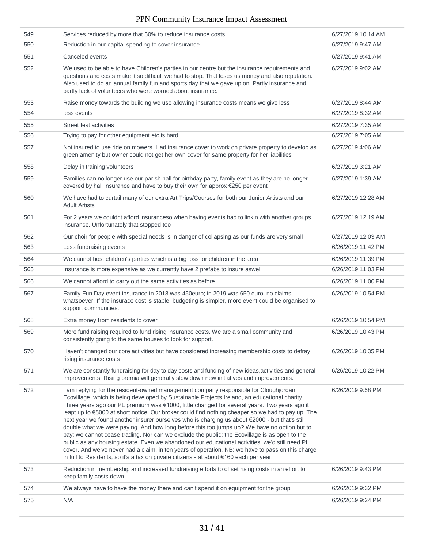| 549 | Services reduced by more that 50% to reduce insurance costs                                                                                                                                                                                                                                                                                                                                                                                                                                                                                                                                                                                                                                                                                                                                                                                                                                                                                                                                   | 6/27/2019 10:14 AM |
|-----|-----------------------------------------------------------------------------------------------------------------------------------------------------------------------------------------------------------------------------------------------------------------------------------------------------------------------------------------------------------------------------------------------------------------------------------------------------------------------------------------------------------------------------------------------------------------------------------------------------------------------------------------------------------------------------------------------------------------------------------------------------------------------------------------------------------------------------------------------------------------------------------------------------------------------------------------------------------------------------------------------|--------------------|
| 550 | Reduction in our capital spending to cover insurance                                                                                                                                                                                                                                                                                                                                                                                                                                                                                                                                                                                                                                                                                                                                                                                                                                                                                                                                          | 6/27/2019 9:47 AM  |
| 551 | Canceled events                                                                                                                                                                                                                                                                                                                                                                                                                                                                                                                                                                                                                                                                                                                                                                                                                                                                                                                                                                               | 6/27/2019 9:41 AM  |
| 552 | We used to be able to have Children's parties in our centre but the insurance requirements and<br>questions and costs make it so difficult we had to stop. That loses us money and also reputation.<br>Also used to do an annual family fun and sports day that we gave up on. Partly insurance and<br>partly lack of volunteers who were worried about insurance.                                                                                                                                                                                                                                                                                                                                                                                                                                                                                                                                                                                                                            | 6/27/2019 9:02 AM  |
| 553 | Raise money towards the building we use allowing insurance costs means we give less                                                                                                                                                                                                                                                                                                                                                                                                                                                                                                                                                                                                                                                                                                                                                                                                                                                                                                           | 6/27/2019 8:44 AM  |
| 554 | less events                                                                                                                                                                                                                                                                                                                                                                                                                                                                                                                                                                                                                                                                                                                                                                                                                                                                                                                                                                                   | 6/27/2019 8:32 AM  |
| 555 | Street fest activities                                                                                                                                                                                                                                                                                                                                                                                                                                                                                                                                                                                                                                                                                                                                                                                                                                                                                                                                                                        | 6/27/2019 7:35 AM  |
| 556 | Trying to pay for other equipment etc is hard                                                                                                                                                                                                                                                                                                                                                                                                                                                                                                                                                                                                                                                                                                                                                                                                                                                                                                                                                 | 6/27/2019 7:05 AM  |
| 557 | Not insured to use ride on mowers. Had insurance cover to work on private property to develop as<br>green amenity but owner could not get her own cover for same property for her liabilities                                                                                                                                                                                                                                                                                                                                                                                                                                                                                                                                                                                                                                                                                                                                                                                                 | 6/27/2019 4:06 AM  |
| 558 | Delay in training volunteers                                                                                                                                                                                                                                                                                                                                                                                                                                                                                                                                                                                                                                                                                                                                                                                                                                                                                                                                                                  | 6/27/2019 3:21 AM  |
| 559 | Families can no longer use our parish hall for birthday party, family event as they are no longer<br>covered by hall insurance and have to buy their own for approx €250 per event                                                                                                                                                                                                                                                                                                                                                                                                                                                                                                                                                                                                                                                                                                                                                                                                            | 6/27/2019 1:39 AM  |
| 560 | We have had to curtail many of our extra Art Trips/Courses for both our Junior Artists and our<br><b>Adult Artists</b>                                                                                                                                                                                                                                                                                                                                                                                                                                                                                                                                                                                                                                                                                                                                                                                                                                                                        | 6/27/2019 12:28 AM |
| 561 | For 2 years we couldnt afford insuranceso when having events had to linkin with another groups<br>insurance. Unfortunately that stopped too                                                                                                                                                                                                                                                                                                                                                                                                                                                                                                                                                                                                                                                                                                                                                                                                                                                   | 6/27/2019 12:19 AM |
| 562 | Our choir for people with special needs is in danger of collapsing as our funds are very small                                                                                                                                                                                                                                                                                                                                                                                                                                                                                                                                                                                                                                                                                                                                                                                                                                                                                                | 6/27/2019 12:03 AM |
| 563 | Less fundraising events                                                                                                                                                                                                                                                                                                                                                                                                                                                                                                                                                                                                                                                                                                                                                                                                                                                                                                                                                                       | 6/26/2019 11:42 PM |
| 564 | We cannot host children's parties which is a big loss for children in the area                                                                                                                                                                                                                                                                                                                                                                                                                                                                                                                                                                                                                                                                                                                                                                                                                                                                                                                | 6/26/2019 11:39 PM |
| 565 | Insurance is more expensive as we currently have 2 prefabs to insure aswell                                                                                                                                                                                                                                                                                                                                                                                                                                                                                                                                                                                                                                                                                                                                                                                                                                                                                                                   | 6/26/2019 11:03 PM |
| 566 | We cannot afford to carry out the same activities as before                                                                                                                                                                                                                                                                                                                                                                                                                                                                                                                                                                                                                                                                                                                                                                                                                                                                                                                                   | 6/26/2019 11:00 PM |
| 567 | Family Fun Day event insurance in 2018 was 450euro; in 2019 was 650 euro, no claims<br>whatsoever. If the insurace cost is stable, budgeting is simpler, more event could be organised to<br>support communities.                                                                                                                                                                                                                                                                                                                                                                                                                                                                                                                                                                                                                                                                                                                                                                             | 6/26/2019 10:54 PM |
| 568 | Extra money from residents to cover                                                                                                                                                                                                                                                                                                                                                                                                                                                                                                                                                                                                                                                                                                                                                                                                                                                                                                                                                           | 6/26/2019 10:54 PM |
| 569 | More fund raising required to fund rising insurance costs. We are a small community and<br>consistently going to the same houses to look for support.                                                                                                                                                                                                                                                                                                                                                                                                                                                                                                                                                                                                                                                                                                                                                                                                                                         | 6/26/2019 10:43 PM |
| 570 | Haven't changed our core activities but have considered increasing membership costs to defray<br>rising insurance costs                                                                                                                                                                                                                                                                                                                                                                                                                                                                                                                                                                                                                                                                                                                                                                                                                                                                       | 6/26/2019 10:35 PM |
| 571 | We are constantly fundraising for day to day costs and funding of new ideas, activities and general<br>improvements. Rising premia will generally slow down new initiatives and improvements.                                                                                                                                                                                                                                                                                                                                                                                                                                                                                                                                                                                                                                                                                                                                                                                                 | 6/26/2019 10:22 PM |
| 572 | I am replying for the resident-owned management company responsible for Cloughjordan<br>Ecovillage, which is being developed by Sustainable Projects Ireland, an educational charity.<br>Three years ago our PL premium was €1000, little changed for several years. Two years ago it<br>leapt up to €8000 at short notice. Our broker could find nothing cheaper so we had to pay up. The<br>next year we found another insurer ourselves who is charging us about €2000 - but that's still<br>double what we were paying. And how long before this too jumps up? We have no option but to<br>pay; we cannot cease trading. Nor can we exclude the public: the Ecovillage is as open to the<br>public as any housing estate. Even we abandoned our educational activities, we'd still need PL<br>cover. And we've never had a claim, in ten years of operation. NB: we have to pass on this charge<br>in full to Residents, so it's a tax on private citizens - at about €160 each per year. | 6/26/2019 9:58 PM  |
| 573 | Reduction in membership and increased fundraising efforts to offset rising costs in an effort to<br>keep family costs down.                                                                                                                                                                                                                                                                                                                                                                                                                                                                                                                                                                                                                                                                                                                                                                                                                                                                   | 6/26/2019 9:43 PM  |
| 574 | We always have to have the money there and can't spend it on equipment for the group                                                                                                                                                                                                                                                                                                                                                                                                                                                                                                                                                                                                                                                                                                                                                                                                                                                                                                          | 6/26/2019 9:32 PM  |
| 575 | N/A                                                                                                                                                                                                                                                                                                                                                                                                                                                                                                                                                                                                                                                                                                                                                                                                                                                                                                                                                                                           | 6/26/2019 9:24 PM  |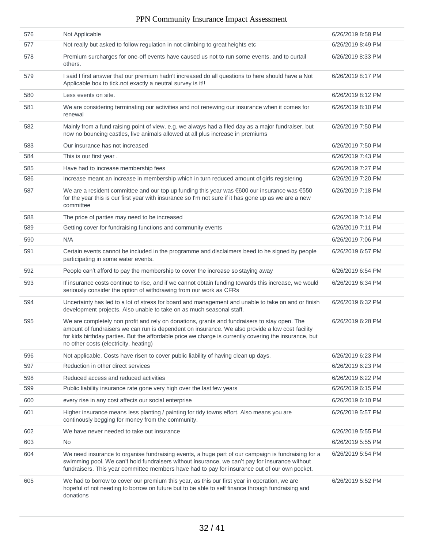| 576 | Not Applicable                                                                                                                                                                                                                                                                                                                                     | 6/26/2019 8:58 PM |
|-----|----------------------------------------------------------------------------------------------------------------------------------------------------------------------------------------------------------------------------------------------------------------------------------------------------------------------------------------------------|-------------------|
| 577 | Not really but asked to follow regulation in not climbing to great heights etc                                                                                                                                                                                                                                                                     | 6/26/2019 8:49 PM |
| 578 | Premium surcharges for one-off events have caused us not to run some events, and to curtail<br>others.                                                                                                                                                                                                                                             | 6/26/2019 8:33 PM |
| 579 | I said I first answer that our premium hadn't increased do all questions to here should have a Not<br>Applicable box to tick.not exactly a neutral survey is it!!                                                                                                                                                                                  | 6/26/2019 8:17 PM |
| 580 | Less events on site.                                                                                                                                                                                                                                                                                                                               | 6/26/2019 8:12 PM |
| 581 | We are considering terminating our activities and not renewing our insurance when it comes for<br>renewal                                                                                                                                                                                                                                          | 6/26/2019 8:10 PM |
| 582 | Mainly from a fund raising point of view, e.g. we always had a filed day as a major fundraiser, but<br>now no bouncing castles, live animals allowed at all plus increase in premiums                                                                                                                                                              | 6/26/2019 7:50 PM |
| 583 | Our insurance has not increased                                                                                                                                                                                                                                                                                                                    | 6/26/2019 7:50 PM |
| 584 | This is our first year.                                                                                                                                                                                                                                                                                                                            | 6/26/2019 7:43 PM |
| 585 | Have had to increase membership fees                                                                                                                                                                                                                                                                                                               | 6/26/2019 7:27 PM |
| 586 | Increase meant an increase in membership which in turn reduced amount of girls registering                                                                                                                                                                                                                                                         | 6/26/2019 7:20 PM |
| 587 | We are a resident committee and our top up funding this year was €600 our insurance was €550<br>for the year this is our first year with insurance so I'm not sure if it has gone up as we are a new<br>committee                                                                                                                                  | 6/26/2019 7:18 PM |
| 588 | The price of parties may need to be increased                                                                                                                                                                                                                                                                                                      | 6/26/2019 7:14 PM |
| 589 | Getting cover for fundraising functions and community events                                                                                                                                                                                                                                                                                       | 6/26/2019 7:11 PM |
| 590 | N/A                                                                                                                                                                                                                                                                                                                                                | 6/26/2019 7:06 PM |
| 591 | Certain events cannot be included in the programme and disclaimers beed to he signed by people<br>participating in some water events.                                                                                                                                                                                                              | 6/26/2019 6:57 PM |
| 592 | People can't afford to pay the membership to cover the increase so staying away                                                                                                                                                                                                                                                                    | 6/26/2019 6:54 PM |
| 593 | If insurance costs continue to rise, and if we cannot obtain funding towards this increase, we would<br>seriously consider the option of withdrawing from our work as CFRs                                                                                                                                                                         | 6/26/2019 6:34 PM |
| 594 | Uncertainty has led to a lot of stress for board and management and unable to take on and or finish<br>development projects. Also unable to take on as much seasonal staff.                                                                                                                                                                        | 6/26/2019 6:32 PM |
| 595 | We are completely non profit and rely on donations, grants and fundraisers to stay open. The<br>amount of fundraisers we can run is dependent on insurance. We also provide a low cost facility<br>for kids birthday parties. But the affordable price we charge is currently covering the insurance, but<br>no other costs (electricity, heating) | 6/26/2019 6:28 PM |
| 596 | Not applicable. Costs have risen to cover public liability of having clean up days.                                                                                                                                                                                                                                                                | 6/26/2019 6:23 PM |
| 597 | Reduction in other direct services                                                                                                                                                                                                                                                                                                                 | 6/26/2019 6:23 PM |
| 598 | Reduced access and reduced activities                                                                                                                                                                                                                                                                                                              | 6/26/2019 6:22 PM |
| 599 | Public liability insurance rate gone very high over the last few years                                                                                                                                                                                                                                                                             | 6/26/2019 6:15 PM |
| 600 | every rise in any cost affects our social enterprise                                                                                                                                                                                                                                                                                               | 6/26/2019 6:10 PM |
| 601 | Higher insurance means less planting / painting for tidy towns effort. Also means you are<br>continously begging for money from the community.                                                                                                                                                                                                     | 6/26/2019 5:57 PM |
| 602 | We have never needed to take out insurance                                                                                                                                                                                                                                                                                                         | 6/26/2019 5:55 PM |
| 603 | No.                                                                                                                                                                                                                                                                                                                                                | 6/26/2019 5:55 PM |
| 604 | We need insurance to organise fundraising events, a huge part of our campaign is fundraising for a<br>swimming pool. We can't hold fundraisers without insurance, we can't pay for insurance without<br>fundraisers. This year committee members have had to pay for insurance out of our own pocket.                                              | 6/26/2019 5:54 PM |
| 605 | We had to borrow to cover our premium this year, as this our first year in operation, we are<br>hopeful of not needing to borrow on future but to be able to self finance through fundraising and<br>donations                                                                                                                                     | 6/26/2019 5:52 PM |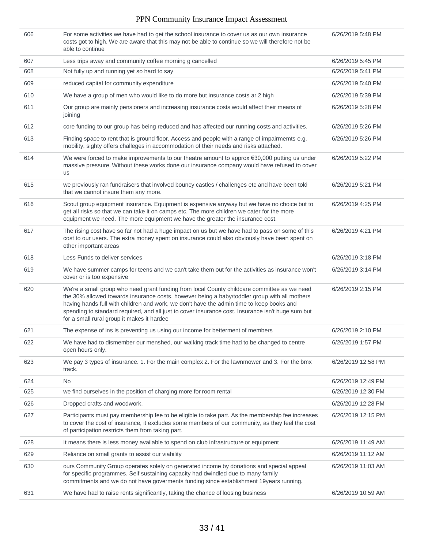| 606 | For some activities we have had to get the school insurance to cover us as our own insurance<br>costs got to high. We are aware that this may not be able to continue so we will therefore not be<br>able to continue                                                                                                                                                                                                                      | 6/26/2019 5:48 PM  |
|-----|--------------------------------------------------------------------------------------------------------------------------------------------------------------------------------------------------------------------------------------------------------------------------------------------------------------------------------------------------------------------------------------------------------------------------------------------|--------------------|
| 607 | Less trips away and community coffee morning g cancelled                                                                                                                                                                                                                                                                                                                                                                                   | 6/26/2019 5:45 PM  |
| 608 | Not fully up and running yet so hard to say                                                                                                                                                                                                                                                                                                                                                                                                | 6/26/2019 5:41 PM  |
| 609 | reduced capital for community expenditure                                                                                                                                                                                                                                                                                                                                                                                                  | 6/26/2019 5:40 PM  |
| 610 | We have a group of men who would like to do more but insurance costs ar 2 high                                                                                                                                                                                                                                                                                                                                                             | 6/26/2019 5:39 PM  |
| 611 | Our group are mainly pensioners and increasing insurance costs would affect their means of<br>joining                                                                                                                                                                                                                                                                                                                                      | 6/26/2019 5:28 PM  |
| 612 | core funding to our group has being reduced and has affected our running costs and activities.                                                                                                                                                                                                                                                                                                                                             | 6/26/2019 5:26 PM  |
| 613 | Finding space to rent that is ground floor. Access and people with a range of impairmemts e.g.<br>mobility, sighty offers challeges in accommodation of their needs and risks attached.                                                                                                                                                                                                                                                    | 6/26/2019 5:26 PM  |
| 614 | We were forced to make improvements to our theatre amount to approx $\epsilon$ 30,000 putting us under<br>massive pressure. Without these works done our insurance company would have refused to cover<br><b>us</b>                                                                                                                                                                                                                        | 6/26/2019 5:22 PM  |
| 615 | we previously ran fundraisers that involved bouncy castles / challenges etc and have been told<br>that we cannot insure them any more.                                                                                                                                                                                                                                                                                                     | 6/26/2019 5:21 PM  |
| 616 | Scout group equipment insurance. Equipment is expensive anyway but we have no choice but to<br>get all risks so that we can take it on camps etc. The more children we cater for the more<br>equipment we need. The more equipment we have the greater the insurance cost.                                                                                                                                                                 | 6/26/2019 4:25 PM  |
| 617 | The rising cost have so far not had a huge impact on us but we have had to pass on some of this<br>cost to our users. The extra money spent on insurance could also obviously have been spent on<br>other important areas                                                                                                                                                                                                                  | 6/26/2019 4:21 PM  |
| 618 | Less Funds to deliver services                                                                                                                                                                                                                                                                                                                                                                                                             | 6/26/2019 3:18 PM  |
| 619 | We have summer camps for teens and we can't take them out for the activities as insurance won't<br>cover or is too expensive                                                                                                                                                                                                                                                                                                               | 6/26/2019 3:14 PM  |
| 620 | We're a small group who need grant funding from local County childcare committee as we need<br>the 30% allowed towards insurance costs, however being a baby/toddler group with all mothers<br>having hands full with children and work, we don't have the admin time to keep books and<br>spending to standard required, and all just to cover insurance cost. Insurance isn't huge sum but<br>for a small rural group it makes it hardee | 6/26/2019 2:15 PM  |
| 621 | The expense of ins is preventing us using our income for betterment of members                                                                                                                                                                                                                                                                                                                                                             | 6/26/2019 2:10 PM  |
| 622 | We have had to dismember our menshed, our walking track time had to be changed to centre<br>open hours only.                                                                                                                                                                                                                                                                                                                               | 6/26/2019 1:57 PM  |
| 623 | We pay 3 types of insurance. 1. For the main complex 2. For the lawnmower and 3. For the bmx<br>track.                                                                                                                                                                                                                                                                                                                                     | 6/26/2019 12:58 PM |
| 624 | <b>No</b>                                                                                                                                                                                                                                                                                                                                                                                                                                  | 6/26/2019 12:49 PM |
| 625 | we find ourselves in the position of charging more for room rental                                                                                                                                                                                                                                                                                                                                                                         | 6/26/2019 12:30 PM |
| 626 | Dropped crafts and woodwork.                                                                                                                                                                                                                                                                                                                                                                                                               | 6/26/2019 12:28 PM |
| 627 | Participants must pay membership fee to be eligible to take part. As the membership fee increases<br>to cover the cost of insurance, it excludes some members of our community, as they feel the cost<br>of participation restricts them from taking part.                                                                                                                                                                                 | 6/26/2019 12:15 PM |
| 628 | It means there is less money available to spend on club infrastructure or equipment                                                                                                                                                                                                                                                                                                                                                        | 6/26/2019 11:49 AM |
| 629 | Reliance on small grants to assist our viability                                                                                                                                                                                                                                                                                                                                                                                           | 6/26/2019 11:12 AM |
| 630 | ours Community Group operates solely on generated income by donations and special appeal<br>for specific programmes. Self sustaining capacity had dwindled due to many family<br>commitments and we do not have governents funding since establishment 19years running.                                                                                                                                                                    | 6/26/2019 11:03 AM |
| 631 | We have had to raise rents significantly, taking the chance of loosing business                                                                                                                                                                                                                                                                                                                                                            | 6/26/2019 10:59 AM |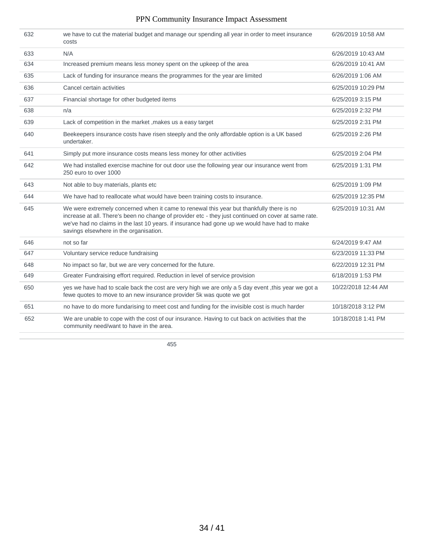| we have to cut the material budget and manage our spending all year in order to meet insurance<br>632<br>6/26/2019 10:58 AM<br>costs<br>N/A<br>6/26/2019 10:43 AM<br>633<br>634<br>Increased premium means less money spent on the upkeep of the area<br>6/26/2019 10:41 AM<br>Lack of funding for insurance means the programmes for the year are limited<br>635<br>6/26/2019 1:06 AM<br>Cancel certain activities<br>636<br>6/25/2019 10:29 PM<br>637<br>Financial shortage for other budgeted items<br>6/25/2019 3:15 PM<br>638<br>n/a<br>6/25/2019 2:32 PM<br>Lack of competition in the market, makes us a easy target<br>6/25/2019 2:31 PM<br>639<br>640<br>Beekeepers insurance costs have risen steeply and the only affordable option is a UK based<br>6/25/2019 2:26 PM<br>undertaker.<br>Simply put more insurance costs means less money for other activities<br>641<br>6/25/2019 2:04 PM<br>We had installed exercise machine for out door use the following year our insurance went from<br>6/25/2019 1:31 PM<br>642<br>250 euro to over 1000<br>643<br>Not able to buy materials, plants etc<br>6/25/2019 1:09 PM<br>We have had to reallocate what would have been training costs to insurance.<br>644<br>6/25/2019 12:35 PM<br>We were extremely concerned when it came to renewal this year but thankfully there is no<br>645<br>6/25/2019 10:31 AM<br>increase at all. There's been no change of provider etc - they just continued on cover at same rate.<br>we've had no claims in the last 10 years. if insurance had gone up we would have had to make<br>savings elsewhere in the organisation.<br>not so far<br>646<br>6/24/2019 9:47 AM<br>Voluntary service reduce fundraising<br>647<br>6/23/2019 11:33 PM<br>648<br>No impact so far, but we are very concerned for the future.<br>6/22/2019 12:31 PM<br>Greater Fundraising effort required. Reduction in level of service provision<br>649<br>6/18/2019 1:53 PM<br>yes we have had to scale back the cost are very high we are only a 5 day event, this year we got a<br>10/22/2018 12:44 AM<br>650<br>fewe quotes to move to an new insurance provider 5k was quote we got<br>651<br>no have to do more fundarising to meet cost and funding for the invisible cost is much harder<br>10/18/2018 3:12 PM<br>We are unable to cope with the cost of our insurance. Having to cut back on activities that the<br>652<br>10/18/2018 1:41 PM<br>community need/want to have in the area. |  |  |
|----------------------------------------------------------------------------------------------------------------------------------------------------------------------------------------------------------------------------------------------------------------------------------------------------------------------------------------------------------------------------------------------------------------------------------------------------------------------------------------------------------------------------------------------------------------------------------------------------------------------------------------------------------------------------------------------------------------------------------------------------------------------------------------------------------------------------------------------------------------------------------------------------------------------------------------------------------------------------------------------------------------------------------------------------------------------------------------------------------------------------------------------------------------------------------------------------------------------------------------------------------------------------------------------------------------------------------------------------------------------------------------------------------------------------------------------------------------------------------------------------------------------------------------------------------------------------------------------------------------------------------------------------------------------------------------------------------------------------------------------------------------------------------------------------------------------------------------------------------------------------------------------------------------------------------------------------------------------------------------------------------------------------------------------------------------------------------------------------------------------------------------------------------------------------------------------------------------------------------------------------------------------------------------------------------------------------------------------------------------------------------------------------------------------------------------------------------------------|--|--|
|                                                                                                                                                                                                                                                                                                                                                                                                                                                                                                                                                                                                                                                                                                                                                                                                                                                                                                                                                                                                                                                                                                                                                                                                                                                                                                                                                                                                                                                                                                                                                                                                                                                                                                                                                                                                                                                                                                                                                                                                                                                                                                                                                                                                                                                                                                                                                                                                                                                                      |  |  |
|                                                                                                                                                                                                                                                                                                                                                                                                                                                                                                                                                                                                                                                                                                                                                                                                                                                                                                                                                                                                                                                                                                                                                                                                                                                                                                                                                                                                                                                                                                                                                                                                                                                                                                                                                                                                                                                                                                                                                                                                                                                                                                                                                                                                                                                                                                                                                                                                                                                                      |  |  |
|                                                                                                                                                                                                                                                                                                                                                                                                                                                                                                                                                                                                                                                                                                                                                                                                                                                                                                                                                                                                                                                                                                                                                                                                                                                                                                                                                                                                                                                                                                                                                                                                                                                                                                                                                                                                                                                                                                                                                                                                                                                                                                                                                                                                                                                                                                                                                                                                                                                                      |  |  |
|                                                                                                                                                                                                                                                                                                                                                                                                                                                                                                                                                                                                                                                                                                                                                                                                                                                                                                                                                                                                                                                                                                                                                                                                                                                                                                                                                                                                                                                                                                                                                                                                                                                                                                                                                                                                                                                                                                                                                                                                                                                                                                                                                                                                                                                                                                                                                                                                                                                                      |  |  |
|                                                                                                                                                                                                                                                                                                                                                                                                                                                                                                                                                                                                                                                                                                                                                                                                                                                                                                                                                                                                                                                                                                                                                                                                                                                                                                                                                                                                                                                                                                                                                                                                                                                                                                                                                                                                                                                                                                                                                                                                                                                                                                                                                                                                                                                                                                                                                                                                                                                                      |  |  |
|                                                                                                                                                                                                                                                                                                                                                                                                                                                                                                                                                                                                                                                                                                                                                                                                                                                                                                                                                                                                                                                                                                                                                                                                                                                                                                                                                                                                                                                                                                                                                                                                                                                                                                                                                                                                                                                                                                                                                                                                                                                                                                                                                                                                                                                                                                                                                                                                                                                                      |  |  |
|                                                                                                                                                                                                                                                                                                                                                                                                                                                                                                                                                                                                                                                                                                                                                                                                                                                                                                                                                                                                                                                                                                                                                                                                                                                                                                                                                                                                                                                                                                                                                                                                                                                                                                                                                                                                                                                                                                                                                                                                                                                                                                                                                                                                                                                                                                                                                                                                                                                                      |  |  |
|                                                                                                                                                                                                                                                                                                                                                                                                                                                                                                                                                                                                                                                                                                                                                                                                                                                                                                                                                                                                                                                                                                                                                                                                                                                                                                                                                                                                                                                                                                                                                                                                                                                                                                                                                                                                                                                                                                                                                                                                                                                                                                                                                                                                                                                                                                                                                                                                                                                                      |  |  |
|                                                                                                                                                                                                                                                                                                                                                                                                                                                                                                                                                                                                                                                                                                                                                                                                                                                                                                                                                                                                                                                                                                                                                                                                                                                                                                                                                                                                                                                                                                                                                                                                                                                                                                                                                                                                                                                                                                                                                                                                                                                                                                                                                                                                                                                                                                                                                                                                                                                                      |  |  |
|                                                                                                                                                                                                                                                                                                                                                                                                                                                                                                                                                                                                                                                                                                                                                                                                                                                                                                                                                                                                                                                                                                                                                                                                                                                                                                                                                                                                                                                                                                                                                                                                                                                                                                                                                                                                                                                                                                                                                                                                                                                                                                                                                                                                                                                                                                                                                                                                                                                                      |  |  |
|                                                                                                                                                                                                                                                                                                                                                                                                                                                                                                                                                                                                                                                                                                                                                                                                                                                                                                                                                                                                                                                                                                                                                                                                                                                                                                                                                                                                                                                                                                                                                                                                                                                                                                                                                                                                                                                                                                                                                                                                                                                                                                                                                                                                                                                                                                                                                                                                                                                                      |  |  |
|                                                                                                                                                                                                                                                                                                                                                                                                                                                                                                                                                                                                                                                                                                                                                                                                                                                                                                                                                                                                                                                                                                                                                                                                                                                                                                                                                                                                                                                                                                                                                                                                                                                                                                                                                                                                                                                                                                                                                                                                                                                                                                                                                                                                                                                                                                                                                                                                                                                                      |  |  |
|                                                                                                                                                                                                                                                                                                                                                                                                                                                                                                                                                                                                                                                                                                                                                                                                                                                                                                                                                                                                                                                                                                                                                                                                                                                                                                                                                                                                                                                                                                                                                                                                                                                                                                                                                                                                                                                                                                                                                                                                                                                                                                                                                                                                                                                                                                                                                                                                                                                                      |  |  |
|                                                                                                                                                                                                                                                                                                                                                                                                                                                                                                                                                                                                                                                                                                                                                                                                                                                                                                                                                                                                                                                                                                                                                                                                                                                                                                                                                                                                                                                                                                                                                                                                                                                                                                                                                                                                                                                                                                                                                                                                                                                                                                                                                                                                                                                                                                                                                                                                                                                                      |  |  |
|                                                                                                                                                                                                                                                                                                                                                                                                                                                                                                                                                                                                                                                                                                                                                                                                                                                                                                                                                                                                                                                                                                                                                                                                                                                                                                                                                                                                                                                                                                                                                                                                                                                                                                                                                                                                                                                                                                                                                                                                                                                                                                                                                                                                                                                                                                                                                                                                                                                                      |  |  |
|                                                                                                                                                                                                                                                                                                                                                                                                                                                                                                                                                                                                                                                                                                                                                                                                                                                                                                                                                                                                                                                                                                                                                                                                                                                                                                                                                                                                                                                                                                                                                                                                                                                                                                                                                                                                                                                                                                                                                                                                                                                                                                                                                                                                                                                                                                                                                                                                                                                                      |  |  |
|                                                                                                                                                                                                                                                                                                                                                                                                                                                                                                                                                                                                                                                                                                                                                                                                                                                                                                                                                                                                                                                                                                                                                                                                                                                                                                                                                                                                                                                                                                                                                                                                                                                                                                                                                                                                                                                                                                                                                                                                                                                                                                                                                                                                                                                                                                                                                                                                                                                                      |  |  |
|                                                                                                                                                                                                                                                                                                                                                                                                                                                                                                                                                                                                                                                                                                                                                                                                                                                                                                                                                                                                                                                                                                                                                                                                                                                                                                                                                                                                                                                                                                                                                                                                                                                                                                                                                                                                                                                                                                                                                                                                                                                                                                                                                                                                                                                                                                                                                                                                                                                                      |  |  |
|                                                                                                                                                                                                                                                                                                                                                                                                                                                                                                                                                                                                                                                                                                                                                                                                                                                                                                                                                                                                                                                                                                                                                                                                                                                                                                                                                                                                                                                                                                                                                                                                                                                                                                                                                                                                                                                                                                                                                                                                                                                                                                                                                                                                                                                                                                                                                                                                                                                                      |  |  |
|                                                                                                                                                                                                                                                                                                                                                                                                                                                                                                                                                                                                                                                                                                                                                                                                                                                                                                                                                                                                                                                                                                                                                                                                                                                                                                                                                                                                                                                                                                                                                                                                                                                                                                                                                                                                                                                                                                                                                                                                                                                                                                                                                                                                                                                                                                                                                                                                                                                                      |  |  |
|                                                                                                                                                                                                                                                                                                                                                                                                                                                                                                                                                                                                                                                                                                                                                                                                                                                                                                                                                                                                                                                                                                                                                                                                                                                                                                                                                                                                                                                                                                                                                                                                                                                                                                                                                                                                                                                                                                                                                                                                                                                                                                                                                                                                                                                                                                                                                                                                                                                                      |  |  |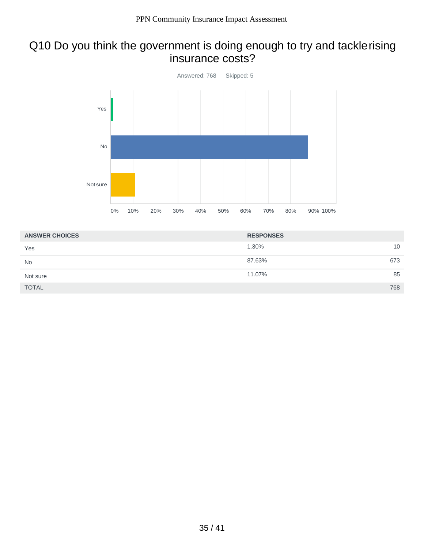# Q10 Do you think the government is doing enough to try and tacklerising insurance costs?



| <b>ANSWER CHOICES</b> | <b>RESPONSES</b> |     |
|-----------------------|------------------|-----|
| Yes                   | 1.30%            | 10  |
| <b>No</b>             | 87.63%           | 673 |
| Not sure              | 11.07%           | 85  |
| <b>TOTAL</b>          |                  | 768 |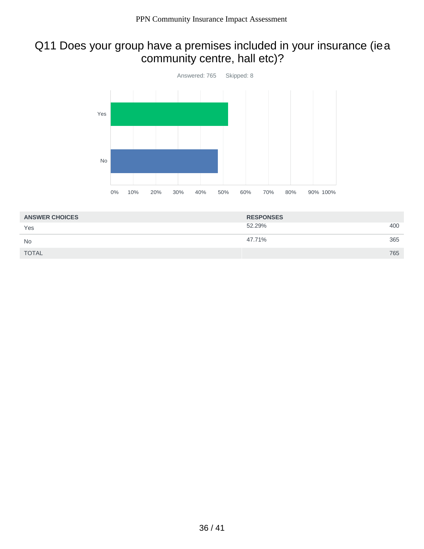# Q11 Does your group have a premises included in your insurance (iea community centre, hall etc)?



| <b>ANSWER CHOICES</b> | <b>RESPONSES</b> |     |
|-----------------------|------------------|-----|
| Yes                   | 52.29%           | 400 |
| <b>No</b>             | 47.71%           | 365 |
| <b>TOTAL</b>          |                  | 765 |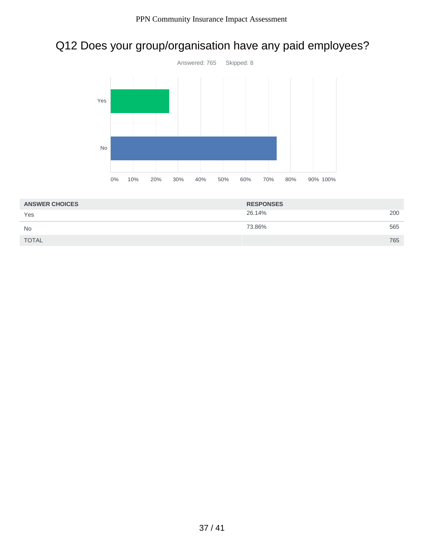# Q12 Does your group/organisation have any paid employees?



| <b>ANSWER CHOICES</b> | <b>RESPONSES</b> |     |
|-----------------------|------------------|-----|
| Yes                   | 26.14%           | 200 |
| <b>No</b>             | 73.86%           | 565 |
| <b>TOTAL</b>          |                  | 765 |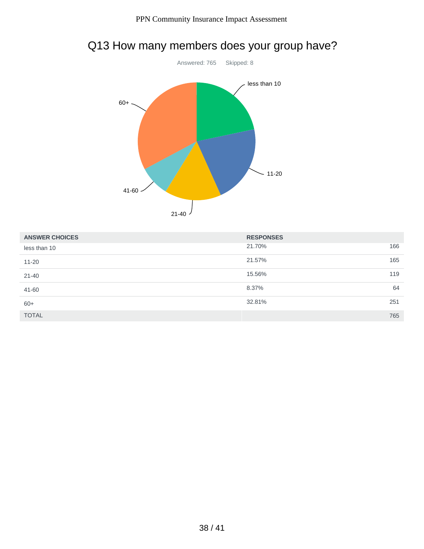

# Q13 How many members does your group have?

| <b>ANSWER CHOICES</b> | <b>RESPONSES</b> |     |
|-----------------------|------------------|-----|
| less than 10          | 21.70%           | 166 |
| $11 - 20$             | 21.57%           | 165 |
| $21 - 40$             | 15.56%           | 119 |
| 41-60                 | 8.37%            | 64  |
| $60+$                 | 32.81%           | 251 |
| <b>TOTAL</b>          |                  | 765 |